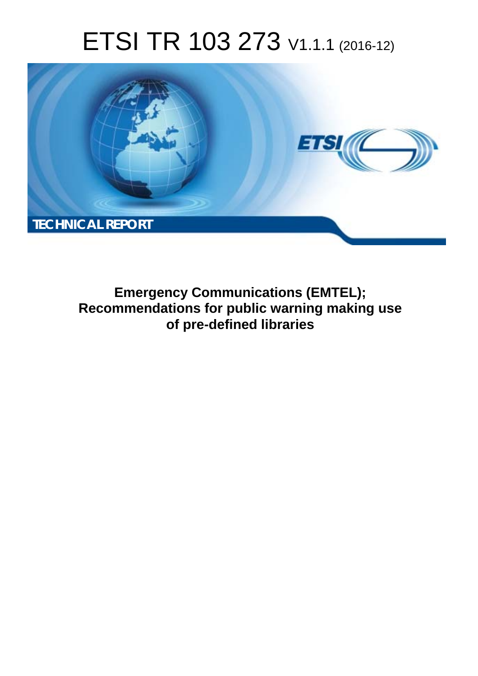# ETSI TR 103 273 V1.1.1 (2016-12)



**Emergency Communications (EMTEL); Recommendations for public warning making use of pre-defined libraries**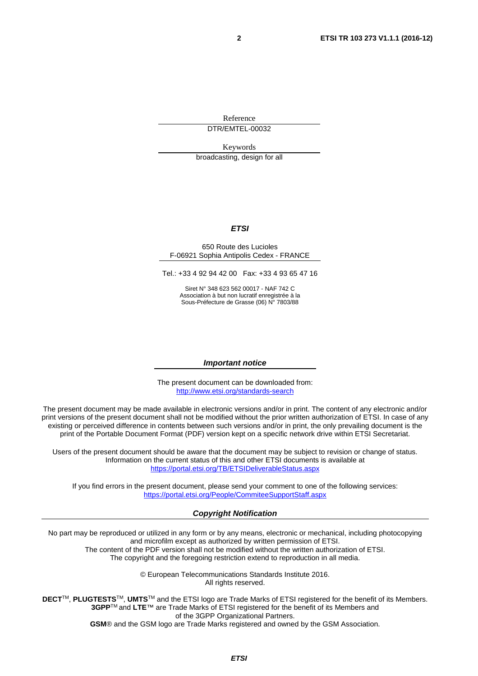Reference

DTR/EMTEL-00032

Keywords

broadcasting, design for all

### *ETSI*

#### 650 Route des Lucioles F-06921 Sophia Antipolis Cedex - FRANCE

Tel.: +33 4 92 94 42 00 Fax: +33 4 93 65 47 16

Siret N° 348 623 562 00017 - NAF 742 C Association à but non lucratif enregistrée à la Sous-Préfecture de Grasse (06) N° 7803/88

#### *Important notice*

The present document can be downloaded from: <http://www.etsi.org/standards-search>

The present document may be made available in electronic versions and/or in print. The content of any electronic and/or print versions of the present document shall not be modified without the prior written authorization of ETSI. In case of any existing or perceived difference in contents between such versions and/or in print, the only prevailing document is the print of the Portable Document Format (PDF) version kept on a specific network drive within ETSI Secretariat.

Users of the present document should be aware that the document may be subject to revision or change of status. Information on the current status of this and other ETSI documents is available at <https://portal.etsi.org/TB/ETSIDeliverableStatus.aspx>

If you find errors in the present document, please send your comment to one of the following services: <https://portal.etsi.org/People/CommiteeSupportStaff.aspx>

### *Copyright Notification*

No part may be reproduced or utilized in any form or by any means, electronic or mechanical, including photocopying and microfilm except as authorized by written permission of ETSI.

The content of the PDF version shall not be modified without the written authorization of ETSI. The copyright and the foregoing restriction extend to reproduction in all media.

> © European Telecommunications Standards Institute 2016. All rights reserved.

**DECT**TM, **PLUGTESTS**TM, **UMTS**TM and the ETSI logo are Trade Marks of ETSI registered for the benefit of its Members. **3GPP**TM and **LTE**™ are Trade Marks of ETSI registered for the benefit of its Members and of the 3GPP Organizational Partners.

**GSM**® and the GSM logo are Trade Marks registered and owned by the GSM Association.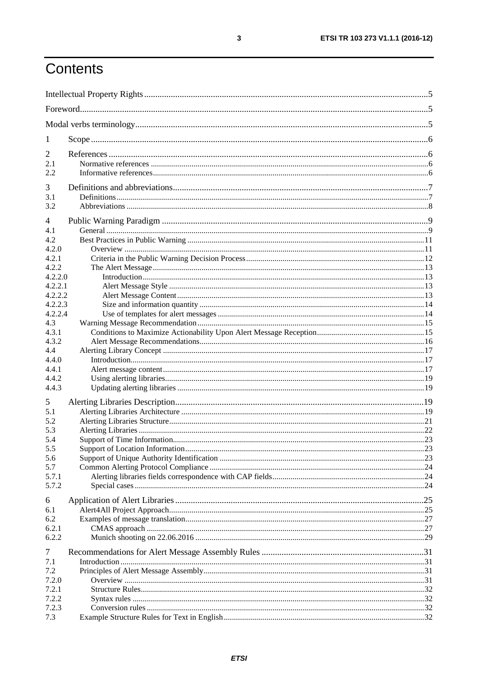# Contents

| 1                  |  |  |  |  |
|--------------------|--|--|--|--|
| 2                  |  |  |  |  |
| 2.1                |  |  |  |  |
| 2.2                |  |  |  |  |
|                    |  |  |  |  |
| 3<br>3.1           |  |  |  |  |
| 3.2                |  |  |  |  |
|                    |  |  |  |  |
| $\overline{4}$     |  |  |  |  |
| 4.1                |  |  |  |  |
| 4.2                |  |  |  |  |
| 4.2.0              |  |  |  |  |
| 4.2.1              |  |  |  |  |
| 4.2.2              |  |  |  |  |
| 4.2.2.0            |  |  |  |  |
| 4.2.2.1<br>4.2.2.2 |  |  |  |  |
| 4.2.2.3            |  |  |  |  |
| 4.2.2.4            |  |  |  |  |
| 4.3                |  |  |  |  |
| 4.3.1              |  |  |  |  |
| 4.3.2              |  |  |  |  |
| 4.4                |  |  |  |  |
| 4.4.0              |  |  |  |  |
| 4.4.1              |  |  |  |  |
| 4.4.2              |  |  |  |  |
| 4.4.3              |  |  |  |  |
| 5                  |  |  |  |  |
| 5.1                |  |  |  |  |
| 5.2                |  |  |  |  |
| 5.3                |  |  |  |  |
| 5.4                |  |  |  |  |
| 5.5                |  |  |  |  |
| 5.6                |  |  |  |  |
| 5.7                |  |  |  |  |
| 5.7.1              |  |  |  |  |
| 5.7.2              |  |  |  |  |
| 6                  |  |  |  |  |
| 6.1                |  |  |  |  |
| 6.2                |  |  |  |  |
| 6.2.1              |  |  |  |  |
| 6.2.2              |  |  |  |  |
|                    |  |  |  |  |
| 7<br>7.1           |  |  |  |  |
| 7.2                |  |  |  |  |
| 7.2.0              |  |  |  |  |
| 7.2.1              |  |  |  |  |
| 7.2.2              |  |  |  |  |
| 7.2.3              |  |  |  |  |
| 7.3                |  |  |  |  |
|                    |  |  |  |  |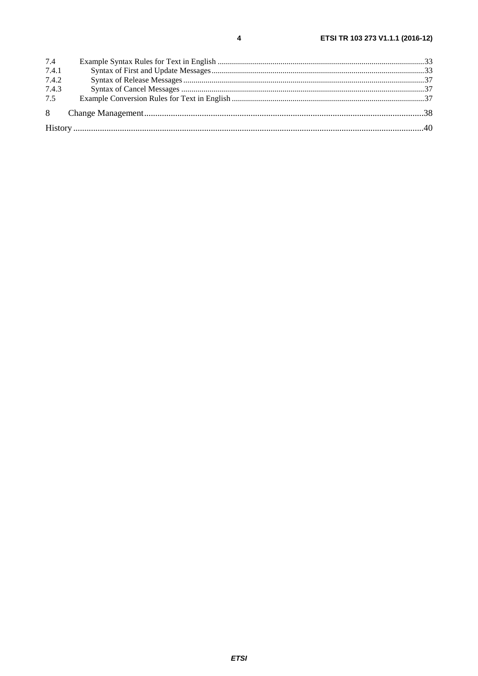| 7.4   |  |
|-------|--|
| 7.4.1 |  |
| 7.4.2 |  |
| 7.4.3 |  |
| 7.5   |  |
|       |  |
|       |  |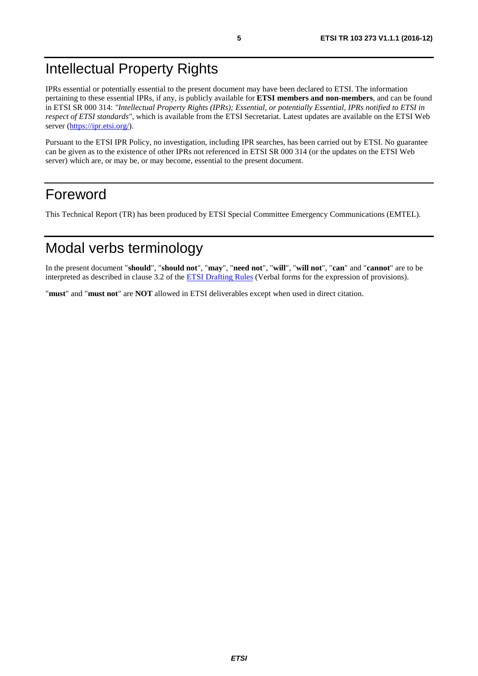# <span id="page-4-0"></span>Intellectual Property Rights

IPRs essential or potentially essential to the present document may have been declared to ETSI. The information pertaining to these essential IPRs, if any, is publicly available for **ETSI members and non-members**, and can be found in ETSI SR 000 314: *"Intellectual Property Rights (IPRs); Essential, or potentially Essential, IPRs notified to ETSI in respect of ETSI standards"*, which is available from the ETSI Secretariat. Latest updates are available on the ETSI Web server ([https://ipr.etsi.org/\)](https://ipr.etsi.org/).

Pursuant to the ETSI IPR Policy, no investigation, including IPR searches, has been carried out by ETSI. No guarantee can be given as to the existence of other IPRs not referenced in ETSI SR 000 314 (or the updates on the ETSI Web server) which are, or may be, or may become, essential to the present document.

# Foreword

This Technical Report (TR) has been produced by ETSI Special Committee Emergency Communications (EMTEL).

# Modal verbs terminology

In the present document "**should**", "**should not**", "**may**", "**need not**", "**will**", "**will not**", "**can**" and "**cannot**" are to be interpreted as described in clause 3.2 of the [ETSI Drafting Rules](https://portal.etsi.org/Services/editHelp!/Howtostart/ETSIDraftingRules.aspx) (Verbal forms for the expression of provisions).

"**must**" and "**must not**" are **NOT** allowed in ETSI deliverables except when used in direct citation.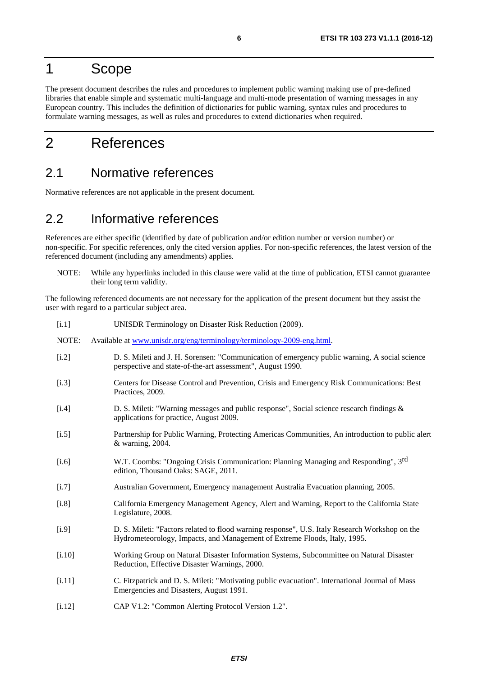# <span id="page-5-0"></span>1 Scope

The present document describes the rules and procedures to implement public warning making use of pre-defined libraries that enable simple and systematic multi-language and multi-mode presentation of warning messages in any European country. This includes the definition of dictionaries for public warning, syntax rules and procedures to formulate warning messages, as well as rules and procedures to extend dictionaries when required.

# 2 References

# 2.1 Normative references

Normative references are not applicable in the present document.

## 2.2 Informative references

References are either specific (identified by date of publication and/or edition number or version number) or non-specific. For specific references, only the cited version applies. For non-specific references, the latest version of the referenced document (including any amendments) applies.

NOTE: While any hyperlinks included in this clause were valid at the time of publication, ETSI cannot guarantee their long term validity.

The following referenced documents are not necessary for the application of the present document but they assist the user with regard to a particular subject area.

| [i.1]    | UNISDR Terminology on Disaster Risk Reduction (2009).                                                                                                                       |
|----------|-----------------------------------------------------------------------------------------------------------------------------------------------------------------------------|
| NOTE:    | Available at www.unisdr.org/eng/terminology/terminology-2009-eng.html.                                                                                                      |
| $[1.2]$  | D. S. Mileti and J. H. Sorensen: "Communication of emergency public warning, A social science<br>perspective and state-of-the-art assessment", August 1990.                 |
| $[1.3]$  | Centers for Disease Control and Prevention, Crisis and Emergency Risk Communications: Best<br>Practices, 2009.                                                              |
| [i.4]    | D. S. Mileti: "Warning messages and public response", Social science research findings $\&$<br>applications for practice, August 2009.                                      |
| $[1.5]$  | Partnership for Public Warning, Protecting Americas Communities, An introduction to public alert<br>& warning, 2004.                                                        |
| $[1.6]$  | W.T. Coombs: "Ongoing Crisis Communication: Planning Managing and Responding", 3rd<br>edition, Thousand Oaks: SAGE, 2011.                                                   |
| $[1.7]$  | Australian Government, Emergency management Australia Evacuation planning, 2005.                                                                                            |
| [i.8]    | California Emergency Management Agency, Alert and Warning, Report to the California State<br>Legislature, 2008.                                                             |
| $[1.9]$  | D. S. Mileti: "Factors related to flood warning response", U.S. Italy Research Workshop on the<br>Hydrometeorology, Impacts, and Management of Extreme Floods, Italy, 1995. |
| $[1.10]$ | Working Group on Natural Disaster Information Systems, Subcommittee on Natural Disaster<br>Reduction, Effective Disaster Warnings, 2000.                                    |
| $[1.11]$ | C. Fitzpatrick and D. S. Mileti: "Motivating public evacuation". International Journal of Mass<br>Emergencies and Disasters, August 1991.                                   |
| [1.12]   | CAP V1.2: "Common Alerting Protocol Version 1.2".                                                                                                                           |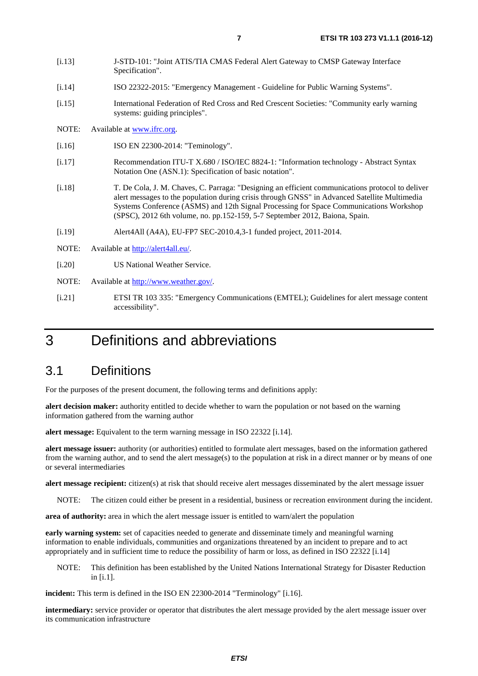- <span id="page-6-0"></span>[i.13] J-STD-101: "Joint ATIS/TIA CMAS Federal Alert Gateway to CMSP Gateway Interface Specification".
- [i.14] ISO 22322-2015: "Emergency Management Guideline for Public Warning Systems".
- [i.15] International Federation of Red Cross and Red Crescent Societies: "Community early warning systems: guiding principles".
- NOTE: Available at [www.ifrc.org](http://www.ifrc.org/).
- [i.16] **ISO EN 22300-2014: "Teminology".**
- [i.17] Recommendation ITU-T X.680 / ISO/IEC 8824-1: "Information technology Abstract Syntax Notation One (ASN.1): Specification of basic notation".
- [i.18] T. De Cola, J. M. Chaves, C. Parraga: "Designing an efficient communications protocol to deliver alert messages to the population during crisis through GNSS" in Advanced Satellite Multimedia Systems Conference (ASMS) and 12th Signal Processing for Space Communications Workshop (SPSC), 2012 6th volume, no. pp.152-159, 5-7 September 2012, Baiona, Spain.
- [i.19] Alert4All (A4A), EU-FP7 SEC-2010.4,3-1 funded project, 2011-2014.
- NOTE: Available at [http://alert4all.eu/.](http://alert4all.eu/)
- [i.20] US National Weather Service.
- NOTE: Available at<http://www.weather.gov/>.
- [i.21] ETSI TR 103 335: "Emergency Communications (EMTEL); Guidelines for alert message content accessibility".

# 3 Definitions and abbreviations

### 3.1 Definitions

For the purposes of the present document, the following terms and definitions apply:

**alert decision maker:** authority entitled to decide whether to warn the population or not based on the warning information gathered from the warning author

**alert message:** Equivalent to the term warning message in ISO 22322 [i.14].

**alert message issuer:** authority (or authorities) entitled to formulate alert messages, based on the information gathered from the warning author, and to send the alert message(s) to the population at risk in a direct manner or by means of one or several intermediaries

**alert message recipient:** citizen(s) at risk that should receive alert messages disseminated by the alert message issuer

NOTE: The citizen could either be present in a residential, business or recreation environment during the incident.

**area of authority:** area in which the alert message issuer is entitled to warn/alert the population

**early warning system:** set of capacities needed to generate and disseminate timely and meaningful warning information to enable individuals, communities and organizations threatened by an incident to prepare and to act appropriately and in sufficient time to reduce the possibility of harm or loss, as defined in ISO 22322 [i.14]

NOTE: This definition has been established by the United Nations International Strategy for Disaster Reduction in [[i.1](#page-5-0)].

**incident:** This term is defined in the ISO EN 22300-2014 "Terminology" [i.16].

**intermediary:** service provider or operator that distributes the alert message provided by the alert message issuer over its communication infrastructure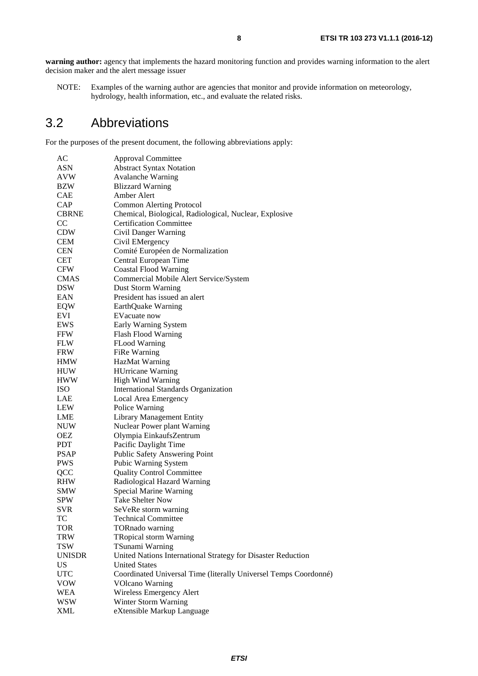<span id="page-7-0"></span>**warning author:** agency that implements the hazard monitoring function and provides warning information to the alert decision maker and the alert message issuer

NOTE: Examples of the warning author are agencies that monitor and provide information on meteorology, hydrology, health information, etc., and evaluate the related risks.

# 3.2 Abbreviations

For the purposes of the present document, the following abbreviations apply:

| AC            | <b>Approval Committee</b>                                        |
|---------------|------------------------------------------------------------------|
| ASN           | <b>Abstract Syntax Notation</b>                                  |
| AVW           | <b>Avalanche Warning</b>                                         |
| BZW           | <b>Blizzard Warning</b>                                          |
| CAE           | Amber Alert                                                      |
| CAP           | <b>Common Alerting Protocol</b>                                  |
| <b>CBRNE</b>  | Chemical, Biological, Radiological, Nuclear, Explosive           |
| CC            | <b>Certification Committee</b>                                   |
| <b>CDW</b>    | Civil Danger Warning                                             |
| <b>CEM</b>    | Civil EMergency                                                  |
| <b>CEN</b>    | Comité Européen de Normalization                                 |
| <b>CET</b>    | Central European Time                                            |
| <b>CFW</b>    | <b>Coastal Flood Warning</b>                                     |
| <b>CMAS</b>   | Commercial Mobile Alert Service/System                           |
| <b>DSW</b>    | Dust Storm Warning                                               |
| EAN           | President has issued an alert                                    |
| EQW           | EarthQuake Warning                                               |
| EVI           | EVacuate now                                                     |
| EWS           | Early Warning System                                             |
| FFW           | Flash Flood Warning                                              |
| <b>FLW</b>    | <b>FLood Warning</b>                                             |
| <b>FRW</b>    | FiRe Warning                                                     |
| <b>HMW</b>    | <b>HazMat Warning</b>                                            |
| <b>HUW</b>    | <b>HUrricane Warning</b>                                         |
| <b>HWW</b>    | <b>High Wind Warning</b>                                         |
| ISO           | <b>International Standards Organization</b>                      |
| LAE           | Local Area Emergency                                             |
| LEW           | Police Warning                                                   |
| LME           | <b>Library Management Entity</b>                                 |
| NUW           | Nuclear Power plant Warning                                      |
| OEZ           | Olympia EinkaufsZentrum                                          |
| PDT.          | Pacific Daylight Time                                            |
| <b>PSAP</b>   | Public Safety Answering Point                                    |
| PWS           | <b>Pubic Warning System</b>                                      |
| QCC           | <b>Quality Control Committee</b>                                 |
| RHW           | Radiological Hazard Warning                                      |
| SMW           | Special Marine Warning                                           |
| <b>SPW</b>    | <b>Take Shelter Now</b>                                          |
| <b>SVR</b>    | SeVeRe storm warning                                             |
| TC            | <b>Technical Committee</b>                                       |
| <b>TOR</b>    | TORnado warning                                                  |
| <b>TRW</b>    | <b>TRopical storm Warning</b>                                    |
| <b>TSW</b>    | TSunami Warning                                                  |
| <b>UNISDR</b> | United Nations International Strategy for Disaster Reduction     |
| <b>US</b>     | <b>United States</b>                                             |
| <b>UTC</b>    | Coordinated Universal Time (literally Universel Temps Coordonné) |
| <b>VOW</b>    | <b>VOlcano Warning</b>                                           |
| <b>WEA</b>    | Wireless Emergency Alert                                         |
| <b>WSW</b>    | Winter Storm Warning                                             |
| <b>XML</b>    | eXtensible Markup Language                                       |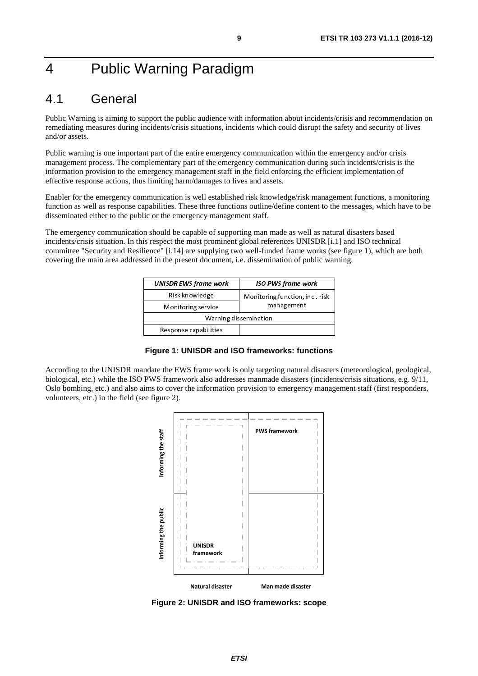# <span id="page-8-0"></span>4 Public Warning Paradigm

# 4.1 General

Public Warning is aiming to support the public audience with information about incidents/crisis and recommendation on remediating measures during incidents/crisis situations, incidents which could disrupt the safety and security of lives and/or assets.

Public warning is one important part of the entire emergency communication within the emergency and/or crisis management process. The complementary part of the emergency communication during such incidents/crisis is the information provision to the emergency management staff in the field enforcing the efficient implementation of effective response actions, thus limiting harm/damages to lives and assets.

Enabler for the emergency communication is well established risk knowledge/risk management functions, a monitoring function as well as response capabilities. These three functions outline/define content to the messages, which have to be disseminated either to the public or the emergency management staff.

The emergency communication should be capable of supporting man made as well as natural disasters based incidents/crisis situation. In this respect the most prominent global references UNISDR [[i.1\]](#page-5-0) and ISO technical committee "Security and Resilience" [[i.14](#page-6-0)] are supplying two well-funded frame works (see figure 1), which are both covering the main area addressed in the present document, i.e. dissemination of public warning.

| <b>UNISDR EWS frame work</b> | <b>ISO PWS frame work</b>       |  |  |
|------------------------------|---------------------------------|--|--|
| Risk knowledge               | Monitoring function, incl. risk |  |  |
| Monitoring service           | management                      |  |  |
| Warning dissemination        |                                 |  |  |
| Response capabilities        |                                 |  |  |



According to the UNISDR mandate the EWS frame work is only targeting natural disasters (meteorological, geological, biological, etc.) while the ISO PWS framework also addresses manmade disasters (incidents/crisis situations, e.g. 9/11, Oslo bombing, etc.) and also aims to cover the information provision to emergency management staff (first responders, volunteers, etc.) in the field (see figure 2).



**Figure 2: UNISDR and ISO frameworks: scope**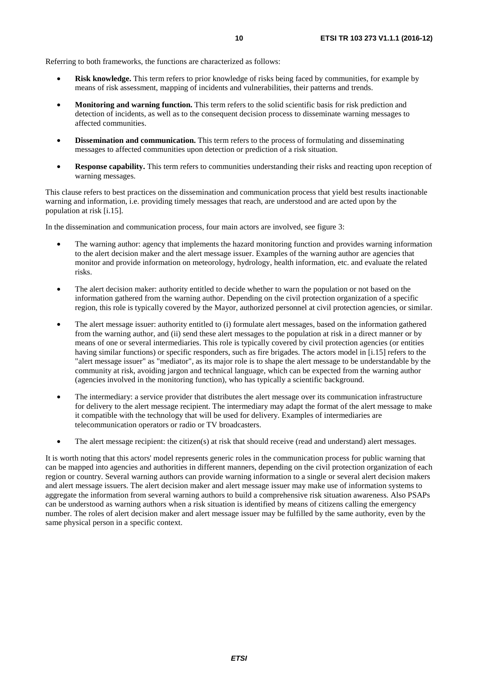Referring to both frameworks, the functions are characterized as follows:

- **Risk knowledge.** This term refers to prior knowledge of risks being faced by communities, for example by means of risk assessment, mapping of incidents and vulnerabilities, their patterns and trends.
- **Monitoring and warning function.** This term refers to the solid scientific basis for risk prediction and detection of incidents, as well as to the consequent decision process to disseminate warning messages to affected communities.
- **Dissemination and communication.** This term refers to the process of formulating and disseminating messages to affected communities upon detection or prediction of a risk situation.
- **Response capability.** This term refers to communities understanding their risks and reacting upon reception of warning messages.

This clause refers to best practices on the dissemination and communication process that yield best results inactionable warning and information, i.e. providing timely messages that reach, are understood and are acted upon by the population at risk [\[i.15\]](#page-6-0).

In the dissemination and communication process, four main actors are involved, see figure 3:

- The warning author: agency that implements the hazard monitoring function and provides warning information to the alert decision maker and the alert message issuer. Examples of the warning author are agencies that monitor and provide information on meteorology, hydrology, health information, etc. and evaluate the related risks.
- The alert decision maker: authority entitled to decide whether to warn the population or not based on the information gathered from the warning author. Depending on the civil protection organization of a specific region, this role is typically covered by the Mayor, authorized personnel at civil protection agencies, or similar.
- The alert message issuer: authority entitled to (i) formulate alert messages, based on the information gathered from the warning author, and (ii) send these alert messages to the population at risk in a direct manner or by means of one or several intermediaries. This role is typically covered by civil protection agencies (or entities having similar functions) or specific responders, such as fire brigades. The actors model in [[i.15\]](#page-6-0) refers to the "alert message issuer" as "mediator", as its major role is to shape the alert message to be understandable by the community at risk, avoiding jargon and technical language, which can be expected from the warning author (agencies involved in the monitoring function), who has typically a scientific background.
- The intermediary: a service provider that distributes the alert message over its communication infrastructure for delivery to the alert message recipient. The intermediary may adapt the format of the alert message to make it compatible with the technology that will be used for delivery. Examples of intermediaries are telecommunication operators or radio or TV broadcasters.
- The alert message recipient: the citizen(s) at risk that should receive (read and understand) alert messages.

It is worth noting that this actors' model represents generic roles in the communication process for public warning that can be mapped into agencies and authorities in different manners, depending on the civil protection organization of each region or country. Several warning authors can provide warning information to a single or several alert decision makers and alert message issuers. The alert decision maker and alert message issuer may make use of information systems to aggregate the information from several warning authors to build a comprehensive risk situation awareness. Also PSAPs can be understood as warning authors when a risk situation is identified by means of citizens calling the emergency number. The roles of alert decision maker and alert message issuer may be fulfilled by the same authority, even by the same physical person in a specific context.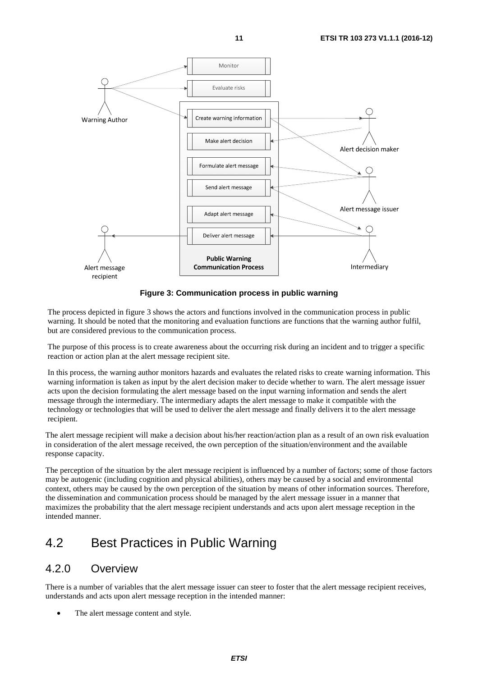<span id="page-10-0"></span>

**Figure 3: Communication process in public warning** 

The process depicted in figure 3 shows the actors and functions involved in the communication process in public warning. It should be noted that the monitoring and evaluation functions are functions that the warning author fulfil, but are considered previous to the communication process.

The purpose of this process is to create awareness about the occurring risk during an incident and to trigger a specific reaction or action plan at the alert message recipient site.

In this process, the warning author monitors hazards and evaluates the related risks to create warning information. This warning information is taken as input by the alert decision maker to decide whether to warn. The alert message issuer acts upon the decision formulating the alert message based on the input warning information and sends the alert message through the intermediary. The intermediary adapts the alert message to make it compatible with the technology or technologies that will be used to deliver the alert message and finally delivers it to the alert message recipient.

The alert message recipient will make a decision about his/her reaction/action plan as a result of an own risk evaluation in consideration of the alert message received, the own perception of the situation/environment and the available response capacity.

The perception of the situation by the alert message recipient is influenced by a number of factors; some of those factors may be autogenic (including cognition and physical abilities), others may be caused by a social and environmental context, others may be caused by the own perception of the situation by means of other information sources. Therefore, the dissemination and communication process should be managed by the alert message issuer in a manner that maximizes the probability that the alert message recipient understands and acts upon alert message reception in the intended manner.

### 4.2 Best Practices in Public Warning

### 4.2.0 Overview

There is a number of variables that the alert message issuer can steer to foster that the alert message recipient receives, understands and acts upon alert message reception in the intended manner:

The alert message content and style.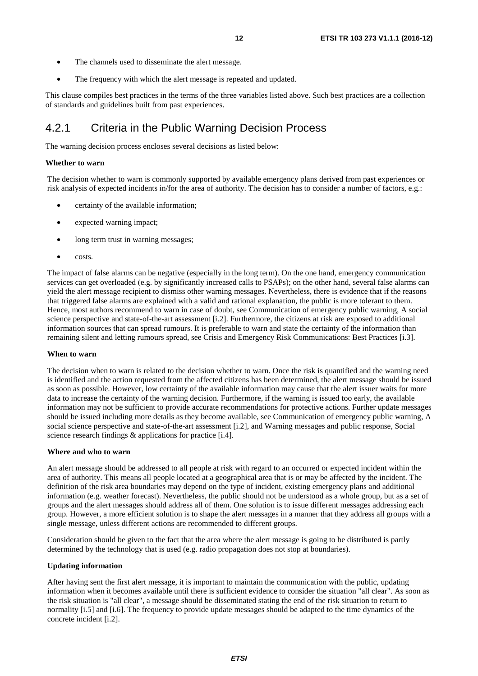- <span id="page-11-0"></span>• The channels used to disseminate the alert message.
- The frequency with which the alert message is repeated and updated.

This clause compiles best practices in the terms of the three variables listed above. Such best practices are a collection of standards and guidelines built from past experiences.

### 4.2.1 Criteria in the Public Warning Decision Process

The warning decision process encloses several decisions as listed below:

#### **Whether to warn**

The decision whether to warn is commonly supported by available emergency plans derived from past experiences or risk analysis of expected incidents in/for the area of authority. The decision has to consider a number of factors, e.g.:

- certainty of the available information;
- expected warning impact;
- long term trust in warning messages;
- costs.

The impact of false alarms can be negative (especially in the long term). On the one hand, emergency communication services can get overloaded (e.g. by significantly increased calls to PSAPs); on the other hand, several false alarms can yield the alert message recipient to dismiss other warning messages. Nevertheless, there is evidence that if the reasons that triggered false alarms are explained with a valid and rational explanation, the public is more tolerant to them. Hence, most authors recommend to warn in case of doubt, see Communication of emergency public warning, A social science perspective and state-of-the-art assessment [[i.2](#page-5-0)]. Furthermore, the citizens at risk are exposed to additional information sources that can spread rumours. It is preferable to warn and state the certainty of the information than remaining silent and letting rumours spread, see Crisis and Emergency Risk Communications: Best Practices [[i.3](#page-5-0)].

#### **When to warn**

The decision when to warn is related to the decision whether to warn. Once the risk is quantified and the warning need is identified and the action requested from the affected citizens has been determined, the alert message should be issued as soon as possible. However, low certainty of the available information may cause that the alert issuer waits for more data to increase the certainty of the warning decision. Furthermore, if the warning is issued too early, the available information may not be sufficient to provide accurate recommendations for protective actions. Further update messages should be issued including more details as they become available, see Communication of emergency public warning, A social science perspective and state-of-the-art assessment [\[i.2](#page-5-0)], and Warning messages and public response, Social science research findings & applications for practice [[i.4](#page-5-0)].

#### **Where and who to warn**

An alert message should be addressed to all people at risk with regard to an occurred or expected incident within the area of authority. This means all people located at a geographical area that is or may be affected by the incident. The definition of the risk area boundaries may depend on the type of incident, existing emergency plans and additional information (e.g. weather forecast). Nevertheless, the public should not be understood as a whole group, but as a set of groups and the alert messages should address all of them. One solution is to issue different messages addressing each group. However, a more efficient solution is to shape the alert messages in a manner that they address all groups with a single message, unless different actions are recommended to different groups.

Consideration should be given to the fact that the area where the alert message is going to be distributed is partly determined by the technology that is used (e.g. radio propagation does not stop at boundaries).

#### **Updating information**

After having sent the first alert message, it is important to maintain the communication with the public, updating information when it becomes available until there is sufficient evidence to consider the situation "all clear". As soon as the risk situation is "all clear", a message should be disseminated stating the end of the risk situation to return to normality [\[i.5\]](#page-5-0) and [[i.6](#page-5-0)]. The frequency to provide update messages should be adapted to the time dynamics of the concrete incident [\[i.2\]](#page-5-0).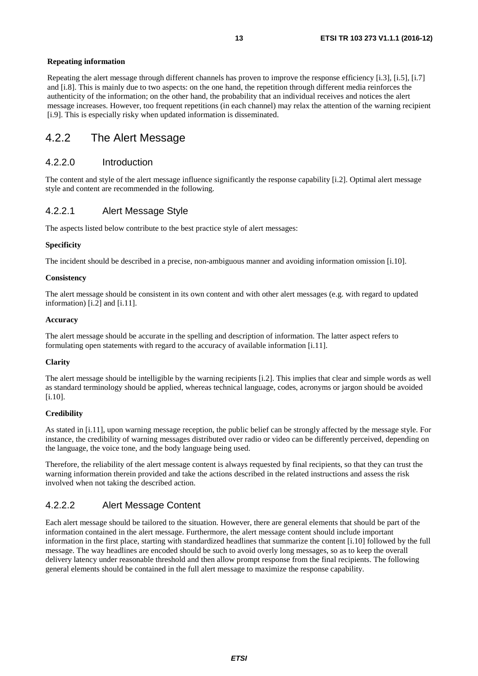#### <span id="page-12-0"></span>**Repeating information**

Repeating the alert message through different channels has proven to improve the response efficiency [\[i.3](#page-5-0)], [\[i.5\]](#page-5-0), [\[i.7\]](#page-5-0) and [\[i.8](#page-5-0)]. This is mainly due to two aspects: on the one hand, the repetition through different media reinforces the authenticity of the information; on the other hand, the probability that an individual receives and notices the alert message increases. However, too frequent repetitions (in each channel) may relax the attention of the warning recipient [\[i.9\]](#page-5-0). This is especially risky when updated information is disseminated.

### 4.2.2 The Alert Message

### 4.2.2.0 Introduction

The content and style of the alert message influence significantly the response capability [\[i.2](#page-5-0)]. Optimal alert message style and content are recommended in the following.

### 4.2.2.1 Alert Message Style

The aspects listed below contribute to the best practice style of alert messages:

#### **Specificity**

The incident should be described in a precise, non-ambiguous manner and avoiding information omission [\[i.10](#page-5-0)].

#### **Consistency**

The alert message should be consistent in its own content and with other alert messages (e.g. with regard to updated information) [[i.2](#page-5-0)] and [\[i.11](#page-5-0)].

#### **Accuracy**

The alert message should be accurate in the spelling and description of information. The latter aspect refers to formulating open statements with regard to the accuracy of available information [\[i.11](#page-5-0)].

#### **Clarity**

The alert message should be intelligible by the warning recipients [\[i.2](#page-5-0)]. This implies that clear and simple words as well as standard terminology should be applied, whereas technical language, codes, acronyms or jargon should be avoided [[i.10](#page-5-0)].

### **Credibility**

As stated in [[i.11\]](#page-5-0), upon warning message reception, the public belief can be strongly affected by the message style. For instance, the credibility of warning messages distributed over radio or video can be differently perceived, depending on the language, the voice tone, and the body language being used.

Therefore, the reliability of the alert message content is always requested by final recipients, so that they can trust the warning information therein provided and take the actions described in the related instructions and assess the risk involved when not taking the described action.

### 4.2.2.2 Alert Message Content

Each alert message should be tailored to the situation. However, there are general elements that should be part of the information contained in the alert message. Furthermore, the alert message content should include important information in the first place, starting with standardized headlines that summarize the content [[i.10](#page-5-0)] followed by the full message. The way headlines are encoded should be such to avoid overly long messages, so as to keep the overall delivery latency under reasonable threshold and then allow prompt response from the final recipients. The following general elements should be contained in the full alert message to maximize the response capability.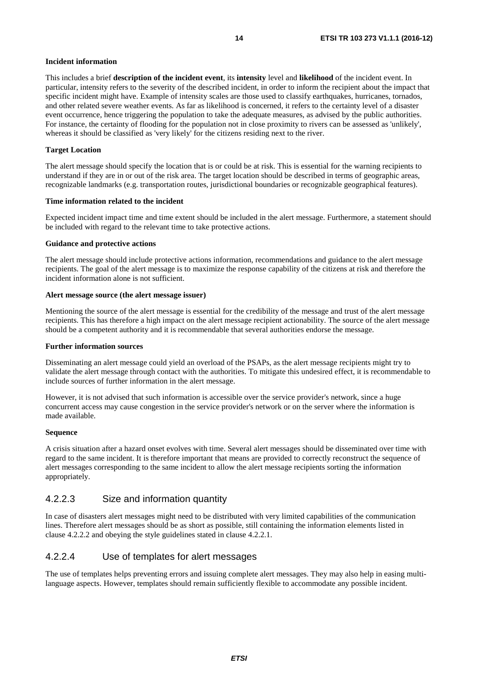#### <span id="page-13-0"></span>**Incident information**

This includes a brief **description of the incident event**, its **intensity** level and **likelihood** of the incident event. In particular, intensity refers to the severity of the described incident, in order to inform the recipient about the impact that specific incident might have. Example of intensity scales are those used to classify earthquakes, hurricanes, tornados, and other related severe weather events. As far as likelihood is concerned, it refers to the certainty level of a disaster event occurrence, hence triggering the population to take the adequate measures, as advised by the public authorities. For instance, the certainty of flooding for the population not in close proximity to rivers can be assessed as 'unlikely', whereas it should be classified as 'very likely' for the citizens residing next to the river.

#### **Target Location**

The alert message should specify the location that is or could be at risk. This is essential for the warning recipients to understand if they are in or out of the risk area. The target location should be described in terms of geographic areas, recognizable landmarks (e.g. transportation routes, jurisdictional boundaries or recognizable geographical features).

#### **Time information related to the incident**

Expected incident impact time and time extent should be included in the alert message. Furthermore, a statement should be included with regard to the relevant time to take protective actions.

#### **Guidance and protective actions**

The alert message should include protective actions information, recommendations and guidance to the alert message recipients. The goal of the alert message is to maximize the response capability of the citizens at risk and therefore the incident information alone is not sufficient.

#### **Alert message source (the alert message issuer)**

Mentioning the source of the alert message is essential for the credibility of the message and trust of the alert message recipients. This has therefore a high impact on the alert message recipient actionability. The source of the alert message should be a competent authority and it is recommendable that several authorities endorse the message.

#### **Further information sources**

Disseminating an alert message could yield an overload of the PSAPs, as the alert message recipients might try to validate the alert message through contact with the authorities. To mitigate this undesired effect, it is recommendable to include sources of further information in the alert message.

However, it is not advised that such information is accessible over the service provider's network, since a huge concurrent access may cause congestion in the service provider's network or on the server where the information is made available.

#### **Sequence**

A crisis situation after a hazard onset evolves with time. Several alert messages should be disseminated over time with regard to the same incident. It is therefore important that means are provided to correctly reconstruct the sequence of alert messages corresponding to the same incident to allow the alert message recipients sorting the information appropriately.

### 4.2.2.3 Size and information quantity

In case of disasters alert messages might need to be distributed with very limited capabilities of the communication lines. Therefore alert messages should be as short as possible, still containing the information elements listed in clause 4.2.2.2 and obeying the style guidelines stated in clause 4.2.2.1.

### 4.2.2.4 Use of templates for alert messages

The use of templates helps preventing errors and issuing complete alert messages. They may also help in easing multilanguage aspects. However, templates should remain sufficiently flexible to accommodate any possible incident.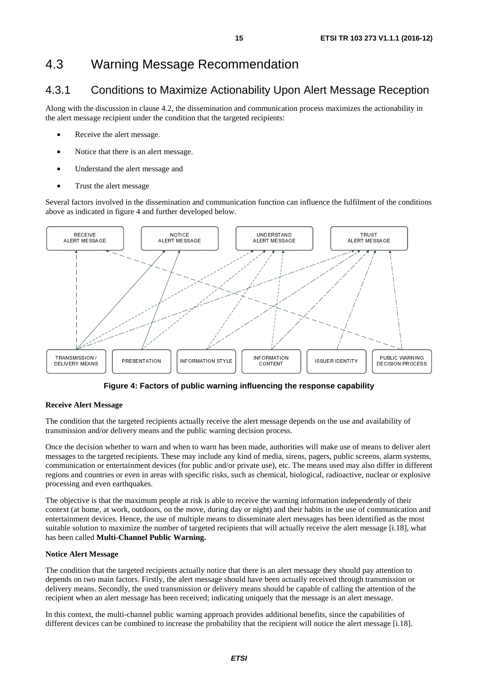## <span id="page-14-0"></span>4.3 Warning Message Recommendation

### 4.3.1 Conditions to Maximize Actionability Upon Alert Message Reception

Along with the discussion in clause 4.2, the dissemination and communication process maximizes the actionability in the alert message recipient under the condition that the targeted recipients:

- Receive the alert message.
- Notice that there is an alert message.
- Understand the alert message and
- Trust the alert message

Several factors involved in the dissemination and communication function can influence the fulfilment of the conditions above as indicated in figure 4 and further developed below.



**Figure 4: Factors of public warning influencing the response capability** 

### **Receive Alert Message**

The condition that the targeted recipients actually receive the alert message depends on the use and availability of transmission and/or delivery means and the public warning decision process.

Once the decision whether to warn and when to warn has been made, authorities will make use of means to deliver alert messages to the targeted recipients. These may include any kind of media, sirens, pagers, public screens, alarm systems, communication or entertainment devices (for public and/or private use), etc. The means used may also differ in different regions and countries or even in areas with specific risks, such as chemical, biological, radioactive, nuclear or explosive processing and even earthquakes. DELIVERY MEANS<br>
DELIVERY MEANS<br>
DELIVERY MEANS<br>
DELIVERY MEANS<br>
DECRIVERY MEANS<br>
DECRIVERY MEANS<br>
DECRISSION AND CONSING AND CONSING AND CONSING THE MUSCON CONSING THE ORDER OF SURFAINING THE ORDER ON THE MANGE<br>
DECRIVE IS **EXECUTE AT FACTOR CONTENT CONTENT CONTENT FORMATION STYLE CONTENT FORMATION STYLE CONTENT FOR ALL CONTENT FOR ALL CONTENT CONTENT CONTENT CONTENT CONTENT CONTENT CONTENT CONTENT CONTENT CONTENT CONTENT CONTENT CONTENT CON** CONTENT<br> **EXECUTE THE SEVER DENTITY**<br> **EXECUTE THE SEXUER DENTITY**<br> **EXECUTE THE SEXUER DENTITY**<br> **EXECUTE THE SEXUE PUBLIC PROCESS**<br> **EXECUTE THE SEXUE CONTENT**<br> **EXECUTE THE SEXUE PUBLIC PROCESS**<br> **EXECUTE THE SEXUE CON** 

The objective is that the maximum people at risk is able to receive the warning information independently of their context (at home, at work, outdoors, on the move, during day or night) and their habits in the use of communication and entertainment devices. Hence, the use of multiple means to disseminate alert messages has been identified as the most suitable solution to maximize the number of targeted recipients that will actually receive the alert message [\[i.18](#page-6-0)], what has been called **Multi-Channel Public Warning.** 

### **Notice Alert Message**

The condition that the targeted recipients actually notice that there is an alert message they should pay attention to depends on two main factors. Firstly, the alert message should have been actually received through transmission or delivery means. Secondly, the used transmission or delivery means should be capable of calling the attention of the recipient when an alert message has been received; indicating uniquely that the message is an alert message.

In this context, the multi-channel public warning approach provides additional benefits, since the capabilities of different devices can be combined to increase the probability that the recipient will notice the alert message [\[i.18](#page-6-0)].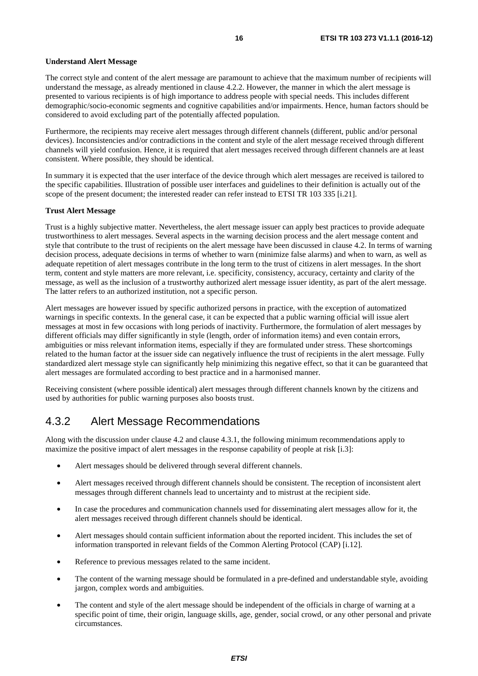#### <span id="page-15-0"></span>**Understand Alert Message**

The correct style and content of the alert message are paramount to achieve that the maximum number of recipients will understand the message, as already mentioned in clause 4.2.2. However, the manner in which the alert message is presented to various recipients is of high importance to address people with special needs. This includes different demographic/socio-economic segments and cognitive capabilities and/or impairments. Hence, human factors should be considered to avoid excluding part of the potentially affected population.

Furthermore, the recipients may receive alert messages through different channels (different, public and/or personal devices). Inconsistencies and/or contradictions in the content and style of the alert message received through different channels will yield confusion. Hence, it is required that alert messages received through different channels are at least consistent. Where possible, they should be identical.

In summary it is expected that the user interface of the device through which alert messages are received is tailored to the specific capabilities. Illustration of possible user interfaces and guidelines to their definition is actually out of the scope of the present document; the interested reader can refer instead to ETSI TR 103 335 [\[i.21\]](#page-6-0).

#### **Trust Alert Message**

Trust is a highly subjective matter. Nevertheless, the alert message issuer can apply best practices to provide adequate trustworthiness to alert messages. Several aspects in the warning decision process and the alert message content and style that contribute to the trust of recipients on the alert message have been discussed in clause 4.2. In terms of warning decision process, adequate decisions in terms of whether to warn (minimize false alarms) and when to warn, as well as adequate repetition of alert messages contribute in the long term to the trust of citizens in alert messages. In the short term, content and style matters are more relevant, i.e. specificity, consistency, accuracy, certainty and clarity of the message, as well as the inclusion of a trustworthy authorized alert message issuer identity, as part of the alert message. The latter refers to an authorized institution, not a specific person.

Alert messages are however issued by specific authorized persons in practice, with the exception of automatized warnings in specific contexts. In the general case, it can be expected that a public warning official will issue alert messages at most in few occasions with long periods of inactivity. Furthermore, the formulation of alert messages by different officials may differ significantly in style (length, order of information items) and even contain errors, ambiguities or miss relevant information items, especially if they are formulated under stress. These shortcomings related to the human factor at the issuer side can negatively influence the trust of recipients in the alert message. Fully standardized alert message style can significantly help minimizing this negative effect, so that it can be guaranteed that alert messages are formulated according to best practice and in a harmonised manner.

Receiving consistent (where possible identical) alert messages through different channels known by the citizens and used by authorities for public warning purposes also boosts trust.

### 4.3.2 Alert Message Recommendations

Along with the discussion under clause 4.2 and clause 4.3.1, the following minimum recommendations apply to maximize the positive impact of alert messages in the response capability of people at risk [\[i.3\]](#page-5-0):

- Alert messages should be delivered through several different channels.
- Alert messages received through different channels should be consistent. The reception of inconsistent alert messages through different channels lead to uncertainty and to mistrust at the recipient side.
- In case the procedures and communication channels used for disseminating alert messages allow for it, the alert messages received through different channels should be identical.
- Alert messages should contain sufficient information about the reported incident. This includes the set of information transported in relevant fields of the Common Alerting Protocol (CAP) [[i.12](#page-5-0)].
- Reference to previous messages related to the same incident.
- The content of the warning message should be formulated in a pre-defined and understandable style, avoiding jargon, complex words and ambiguities.
- The content and style of the alert message should be independent of the officials in charge of warning at a specific point of time, their origin, language skills, age, gender, social crowd, or any other personal and private circumstances.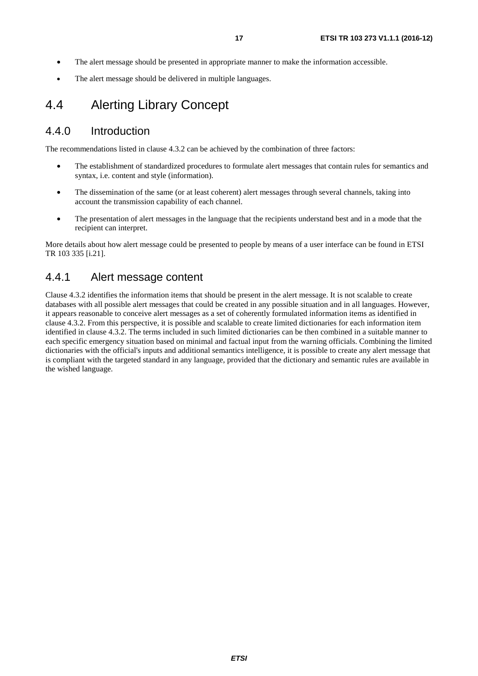- <span id="page-16-0"></span>• The alert message should be presented in appropriate manner to make the information accessible.
- The alert message should be delivered in multiple languages.

### 4.4 Alerting Library Concept

### 4.4.0 Introduction

The recommendations listed in clause 4.3.2 can be achieved by the combination of three factors:

- The establishment of standardized procedures to formulate alert messages that contain rules for semantics and syntax, i.e. content and style (information).
- The dissemination of the same (or at least coherent) alert messages through several channels, taking into account the transmission capability of each channel.
- The presentation of alert messages in the language that the recipients understand best and in a mode that the recipient can interpret.

More details about how alert message could be presented to people by means of a user interface can be found in ETSI TR 103 335 [\[i.21](#page-6-0)].

### 4.4.1 Alert message content

Clause 4.3.2 identifies the information items that should be present in the alert message. It is not scalable to create databases with all possible alert messages that could be created in any possible situation and in all languages. However, it appears reasonable to conceive alert messages as a set of coherently formulated information items as identified in clause 4.3.2. From this perspective, it is possible and scalable to create limited dictionaries for each information item identified in clause 4.3.2. The terms included in such limited dictionaries can be then combined in a suitable manner to each specific emergency situation based on minimal and factual input from the warning officials. Combining the limited dictionaries with the official's inputs and additional semantics intelligence, it is possible to create any alert message that is compliant with the targeted standard in any language, provided that the dictionary and semantic rules are available in the wished language.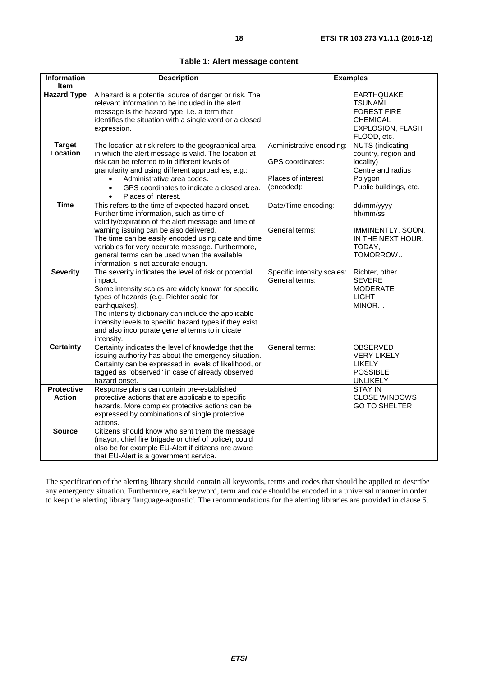|  |  |  | Table 1: Alert message content |  |
|--|--|--|--------------------------------|--|
|--|--|--|--------------------------------|--|

| <b>Information</b>        | <b>Description</b>                                                                                     |                            | <b>Examples</b>                |
|---------------------------|--------------------------------------------------------------------------------------------------------|----------------------------|--------------------------------|
| <b>Item</b>               |                                                                                                        |                            |                                |
| <b>Hazard Type</b>        | A hazard is a potential source of danger or risk. The                                                  |                            | <b>EARTHQUAKE</b>              |
|                           | relevant information to be included in the alert                                                       |                            | <b>TSUNAMI</b>                 |
|                           | message is the hazard type, i.e. a term that                                                           |                            | <b>FOREST FIRE</b>             |
|                           | identifies the situation with a single word or a closed                                                |                            | <b>CHEMICAL</b>                |
|                           | expression.                                                                                            |                            | EXPLOSION, FLASH               |
|                           |                                                                                                        |                            | FLOOD, etc.                    |
| <b>Target</b><br>Location | The location at risk refers to the geographical area                                                   | Administrative encoding:   | <b>NUTS</b> (indicating        |
|                           | in which the alert message is valid. The location at<br>risk can be referred to in different levels of | GPS coordinates:           | country, region and            |
|                           |                                                                                                        |                            | locality)<br>Centre and radius |
|                           | granularity and using different approaches, e.g.:<br>$\bullet$                                         | Places of interest         | Polygon                        |
|                           | Administrative area codes.<br>GPS coordinates to indicate a closed area.<br>$\bullet$                  | (encoded):                 | Public buildings, etc.         |
|                           |                                                                                                        |                            |                                |
| <b>Time</b>               | Places of interest.                                                                                    |                            |                                |
|                           | This refers to the time of expected hazard onset.<br>Further time information, such as time of         | Date/Time encoding:        | dd/mm/yyyy<br>hh/mm/ss         |
|                           | validity/expiration of the alert message and time of                                                   |                            |                                |
|                           | warning issuing can be also delivered.                                                                 | General terms:             | IMMINENTLY, SOON,              |
|                           | The time can be easily encoded using date and time                                                     |                            | IN THE NEXT HOUR,              |
|                           | variables for very accurate message. Furthermore,                                                      |                            | TODAY,                         |
|                           | general terms can be used when the available                                                           |                            | TOMORROW                       |
|                           | information is not accurate enough.                                                                    |                            |                                |
| <b>Severity</b>           | The severity indicates the level of risk or potential                                                  | Specific intensity scales: | Richter, other                 |
|                           | impact.                                                                                                | General terms:             | <b>SEVERE</b>                  |
|                           | Some intensity scales are widely known for specific                                                    |                            | <b>MODERATE</b>                |
|                           | types of hazards (e.g. Richter scale for                                                               |                            | <b>LIGHT</b>                   |
|                           | earthquakes).                                                                                          |                            | MINOR                          |
|                           | The intensity dictionary can include the applicable                                                    |                            |                                |
|                           | intensity levels to specific hazard types if they exist                                                |                            |                                |
|                           | and also incorporate general terms to indicate                                                         |                            |                                |
|                           | intensity.<br>Certainty indicates the level of knowledge that the                                      | General terms:             | <b>OBSERVED</b>                |
| <b>Certainty</b>          | issuing authority has about the emergency situation.                                                   |                            | <b>VERY LIKELY</b>             |
|                           | Certainty can be expressed in levels of likelihood, or                                                 |                            | <b>LIKELY</b>                  |
|                           | tagged as "observed" in case of already observed                                                       |                            | <b>POSSIBLE</b>                |
|                           | hazard onset.                                                                                          |                            | <b>UNLIKELY</b>                |
| <b>Protective</b>         | Response plans can contain pre-established                                                             |                            | <b>STAY IN</b>                 |
| <b>Action</b>             | protective actions that are applicable to specific                                                     |                            | <b>CLOSE WINDOWS</b>           |
|                           | hazards. More complex protective actions can be                                                        |                            | <b>GO TO SHELTER</b>           |
|                           | expressed by combinations of single protective                                                         |                            |                                |
|                           | actions.                                                                                               |                            |                                |
| <b>Source</b>             | Citizens should know who sent them the message                                                         |                            |                                |
|                           | (mayor, chief fire brigade or chief of police); could                                                  |                            |                                |
|                           | also be for example EU-Alert if citizens are aware                                                     |                            |                                |
|                           | that EU-Alert is a government service.                                                                 |                            |                                |

The specification of the alerting library should contain all keywords, terms and codes that should be applied to describe any emergency situation. Furthermore, each keyword, term and code should be encoded in a universal manner in order to keep the alerting library 'language-agnostic'. The recommendations for the alerting libraries are provided in clause 5.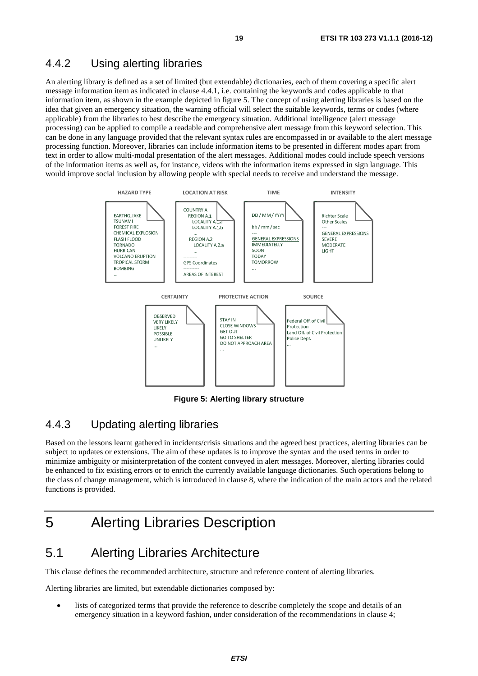### <span id="page-18-0"></span>4.4.2 Using alerting libraries

An alerting library is defined as a set of limited (but extendable) dictionaries, each of them covering a specific alert message information item as indicated in clause 4.4.1, i.e. containing the keywords and codes applicable to that information item, as shown in the example depicted in figure 5. The concept of using alerting libraries is based on the idea that given an emergency situation, the warning official will select the suitable keywords, terms or codes (where applicable) from the libraries to best describe the emergency situation. Additional intelligence (alert message processing) can be applied to compile a readable and comprehensive alert message from this keyword selection. This can be done in any language provided that the relevant syntax rules are encompassed in or available to the alert message processing function. Moreover, libraries can include information items to be presented in different modes apart from text in order to allow multi-modal presentation of the alert messages. Additional modes could include speech versions of the information items as well as, for instance, videos with the information items expressed in sign language. This would improve social inclusion by allowing people with special needs to receive and understand the message.



**Figure 5: Alerting library structure** 

### 4.4.3 Updating alerting libraries

Based on the lessons learnt gathered in incidents/crisis situations and the agreed best practices, alerting libraries can be subject to updates or extensions. The aim of these updates is to improve the syntax and the used terms in order to minimize ambiguity or misinterpretation of the content conveyed in alert messages. Moreover, alerting libraries could be enhanced to fix existing errors or to enrich the currently available language dictionaries. Such operations belong to the class of change management, which is introduced in clause 8, where the indication of the main actors and the related functions is provided.

# 5 Alerting Libraries Description

### 5.1 Alerting Libraries Architecture

This clause defines the recommended architecture, structure and reference content of alerting libraries.

Alerting libraries are limited, but extendable dictionaries composed by:

lists of categorized terms that provide the reference to describe completely the scope and details of an emergency situation in a keyword fashion, under consideration of the recommendations in clause 4;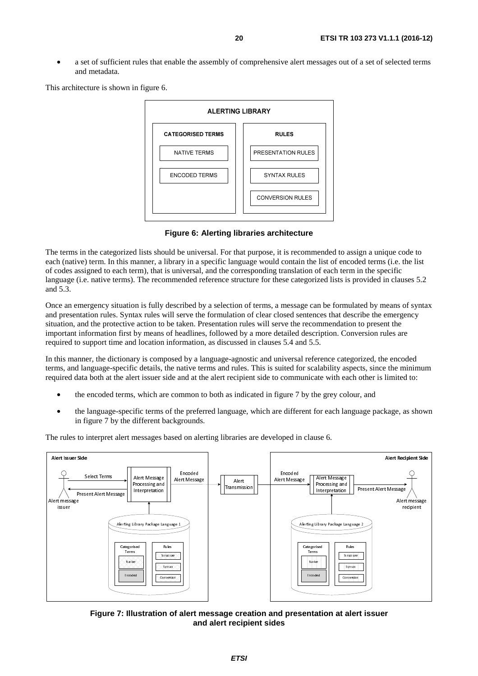• a set of sufficient rules that enable the assembly of comprehensive alert messages out of a set of selected terms and metadata.

This architecture is shown in figure 6.



**Figure 6: Alerting libraries architecture**

The terms in the categorized lists should be universal. For that purpose, it is recommended to assign a unique code to each (native) term. In this manner, a library in a specific language would contain the list of encoded terms (i.e. the list of codes assigned to each term), that is universal, and the corresponding translation of each term in the specific language (i.e. native terms). The recommended reference structure for these categorized lists is provided in clauses 5.2 and 5.3.

Once an emergency situation is fully described by a selection of terms, a message can be formulated by means of syntax and presentation rules. Syntax rules will serve the formulation of clear closed sentences that describe the emergency situation, and the protective action to be taken. Presentation rules will serve the recommendation to present the important information first by means of headlines, followed by a more detailed description. Conversion rules are required to support time and location information, as discussed in clauses 5.4 and 5.5.

In this manner, the dictionary is composed by a language-agnostic and universal reference categorized, the encoded terms, and language-specific details, the native terms and rules. This is suited for scalability aspects, since the minimum required data both at the alert issuer side and at the alert recipient side to communicate with each other is limited to:

- the encoded terms, which are common to both as indicated in figure 7 by the grey colour, and
- the language-specific terms of the preferred language, which are different for each language package, as shown in figure 7 by the different backgrounds.

The rules to interpret alert messages based on alerting libraries are developed in clause 6.



**Figure 7: Illustration of alert message creation and presentation at alert issuer and alert recipient sides**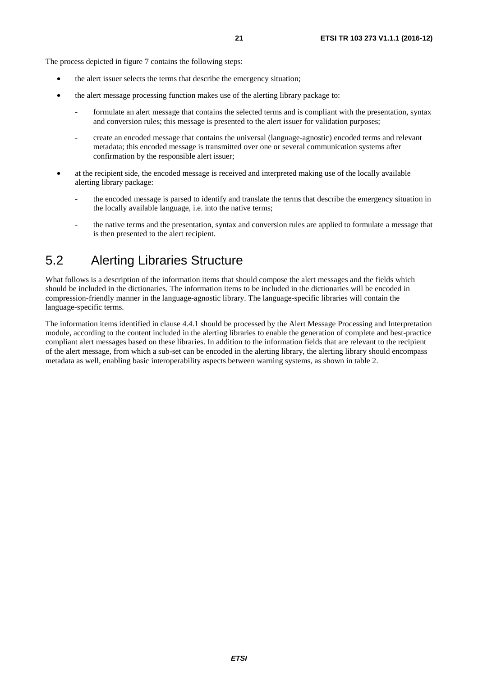- <span id="page-20-0"></span>• the alert issuer selects the terms that describe the emergency situation;
- the alert message processing function makes use of the alerting library package to:
	- formulate an alert message that contains the selected terms and is compliant with the presentation, syntax and conversion rules; this message is presented to the alert issuer for validation purposes;
	- create an encoded message that contains the universal (language-agnostic) encoded terms and relevant metadata; this encoded message is transmitted over one or several communication systems after confirmation by the responsible alert issuer;
- at the recipient side, the encoded message is received and interpreted making use of the locally available alerting library package:
	- the encoded message is parsed to identify and translate the terms that describe the emergency situation in the locally available language, i.e. into the native terms;
	- the native terms and the presentation, syntax and conversion rules are applied to formulate a message that is then presented to the alert recipient.

# 5.2 Alerting Libraries Structure

What follows is a description of the information items that should compose the alert messages and the fields which should be included in the dictionaries. The information items to be included in the dictionaries will be encoded in compression-friendly manner in the language-agnostic library. The language-specific libraries will contain the language-specific terms.

The information items identified in clause 4.4.1 should be processed by the Alert Message Processing and Interpretation module, according to the content included in the alerting libraries to enable the generation of complete and best-practice compliant alert messages based on these libraries. In addition to the information fields that are relevant to the recipient of the alert message, from which a sub-set can be encoded in the alerting library, the alerting library should encompass metadata as well, enabling basic interoperability aspects between warning systems, as shown in table 2.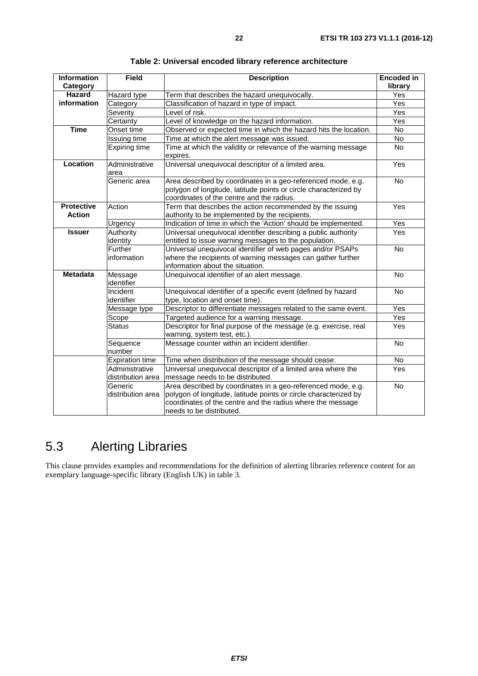<span id="page-21-0"></span>

| <b>Field</b><br><b>Information</b> |                                                              | <b>Description</b>                                                                                                                                                            | <b>Encoded in</b> |
|------------------------------------|--------------------------------------------------------------|-------------------------------------------------------------------------------------------------------------------------------------------------------------------------------|-------------------|
| Category                           |                                                              |                                                                                                                                                                               | library           |
| <b>Hazard</b>                      | Hazard type<br>Term that describes the hazard unequivocally. |                                                                                                                                                                               | Yes               |
| information                        | Category                                                     | Classification of hazard in type of impact.                                                                                                                                   | Yes               |
|                                    | Severity                                                     | Level of risk.                                                                                                                                                                | Yes               |
|                                    | Certainty                                                    | Level of knowledge on the hazard information.                                                                                                                                 | Yes               |
| <b>Time</b>                        | Onset time                                                   | Observed or expected time in which the hazard hits the location.                                                                                                              | No                |
|                                    | Issuing time                                                 | Time at which the alert message was issued.                                                                                                                                   | <b>No</b>         |
|                                    | Expiring time                                                | Time at which the validity or relevance of the warning message<br>expires.                                                                                                    | <b>No</b>         |
| Location                           | Administrative<br>area                                       | Universal unequivocal descriptor of a limited area.                                                                                                                           | Yes               |
|                                    | Generic area                                                 | Area described by coordinates in a geo-referenced mode, e.g.<br>polygon of longitude, latitude points or circle characterized by<br>coordinates of the centre and the radius. | No                |
| <b>Protective</b>                  | Action                                                       | Term that describes the action recommended by the issuing                                                                                                                     | Yes               |
| <b>Action</b>                      |                                                              | authority to be implemented by the recipients.                                                                                                                                |                   |
|                                    | Urgency                                                      | Indication of time in which the 'Action' should be implemented.                                                                                                               | Yes               |
| <b>Issuer</b>                      | Authority                                                    | Universal unequivocal identifier describing a public authority                                                                                                                | Yes               |
|                                    | identity                                                     | entitled to issue warning messages to the population.                                                                                                                         |                   |
|                                    | Further                                                      | Universal unequivocal identifier of web pages and/or PSAPs                                                                                                                    | No                |
|                                    | information                                                  | where the recipients of warning messages can gather further                                                                                                                   |                   |
|                                    |                                                              | information about the situation.                                                                                                                                              |                   |
| <b>Metadata</b>                    | Message                                                      | Unequivocal identifier of an alert message.                                                                                                                                   | <b>No</b>         |
|                                    | identifier                                                   |                                                                                                                                                                               |                   |
|                                    | Incident                                                     | Unequivocal identifier of a specific event (defined by hazard                                                                                                                 | <b>No</b>         |
|                                    | identifier                                                   | type, location and onset time).                                                                                                                                               |                   |
|                                    | Message type                                                 | Descriptor to differentiate messages related to the same event.                                                                                                               | Yes               |
|                                    | Scope                                                        | Targeted audience for a warning message.                                                                                                                                      | Yes               |
|                                    | <b>Status</b>                                                | Descriptor for final purpose of the message (e.g. exercise, real                                                                                                              | Yes               |
|                                    |                                                              | warning, system test, etc.).                                                                                                                                                  | No                |
|                                    | Sequence<br>number                                           | Message counter within an incident identifier.                                                                                                                                |                   |
|                                    | <b>Expiration time</b>                                       | Time when distribution of the message should cease.                                                                                                                           | <b>No</b>         |
|                                    | Administrative                                               | Universal unequivocal descriptor of a limited area where the                                                                                                                  | Yes               |
|                                    | distribution area                                            | message needs to be distributed.                                                                                                                                              |                   |
|                                    | Generic                                                      | Area described by coordinates in a geo-referenced mode, e.g.                                                                                                                  | No                |
|                                    | distribution area                                            | polygon of longitude, latitude points or circle characterized by                                                                                                              |                   |
|                                    |                                                              | coordinates of the centre and the radius where the message                                                                                                                    |                   |
|                                    |                                                              | needs to be distributed.                                                                                                                                                      |                   |

# 5.3 Alerting Libraries

This clause provides examples and recommendations for the definition of alerting libraries reference content for an exemplary language-specific library (English UK) in table 3.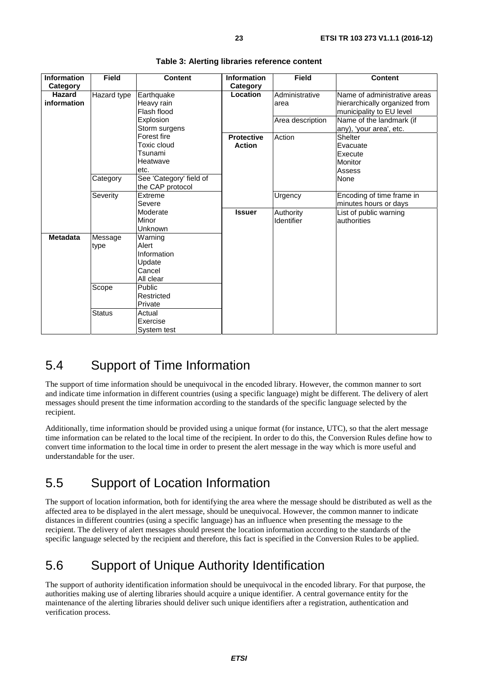<span id="page-22-0"></span>

| <b>Information</b>           | <b>Field</b>    | <b>Content</b>                                                   | <b>Information</b>                 | <b>Field</b>            | <b>Content</b>                                                                            |
|------------------------------|-----------------|------------------------------------------------------------------|------------------------------------|-------------------------|-------------------------------------------------------------------------------------------|
| <b>Category</b>              |                 |                                                                  | Category                           |                         |                                                                                           |
| <b>Hazard</b><br>information | Hazard type     | Earthquake<br>Heavy rain<br>Flash flood                          | <b>Location</b>                    | Administrative<br>area  | Name of administrative areas<br>hierarchically organized from<br>municipality to EU level |
|                              |                 | Explosion<br>Storm surgens                                       |                                    | Area description        | Name of the landmark (if<br>any), 'your area', etc.                                       |
|                              |                 | Forest fire<br>Toxic cloud<br>Tsunami<br>Heatwave<br>etc.        | <b>Protective</b><br><b>Action</b> | Action                  | <b>Shelter</b><br>Evacuate<br>Execute<br>Monitor<br>Assess                                |
|                              | Category        | See 'Category' field of<br>the CAP protocol                      |                                    |                         | None                                                                                      |
|                              | Severity        | Extreme<br>Severe                                                |                                    | Urgency                 | Encoding of time frame in<br>minutes hours or days                                        |
|                              |                 | Moderate<br>Minor<br>Unknown                                     | <b>Issuer</b>                      | Authority<br>Identifier | List of public warning<br>authorities                                                     |
| <b>Metadata</b>              | Message<br>type | Warning<br>Alert<br>Information<br>Update<br>Cancel<br>All clear |                                    |                         |                                                                                           |
|                              | Scope           | Public<br>Restricted<br>Private                                  |                                    |                         |                                                                                           |
|                              | <b>Status</b>   | Actual<br>Exercise<br>System test                                |                                    |                         |                                                                                           |

**Table 3: Alerting libraries reference content**

# 5.4 Support of Time Information

The support of time information should be unequivocal in the encoded library. However, the common manner to sort and indicate time information in different countries (using a specific language) might be different. The delivery of alert messages should present the time information according to the standards of the specific language selected by the recipient.

Additionally, time information should be provided using a unique format (for instance, UTC), so that the alert message time information can be related to the local time of the recipient. In order to do this, the Conversion Rules define how to convert time information to the local time in order to present the alert message in the way which is more useful and understandable for the user.

# 5.5 Support of Location Information

The support of location information, both for identifying the area where the message should be distributed as well as the affected area to be displayed in the alert message, should be unequivocal. However, the common manner to indicate distances in different countries (using a specific language) has an influence when presenting the message to the recipient. The delivery of alert messages should present the location information according to the standards of the specific language selected by the recipient and therefore, this fact is specified in the Conversion Rules to be applied.

# 5.6 Support of Unique Authority Identification

The support of authority identification information should be unequivocal in the encoded library. For that purpose, the authorities making use of alerting libraries should acquire a unique identifier. A central governance entity for the maintenance of the alerting libraries should deliver such unique identifiers after a registration, authentication and verification process.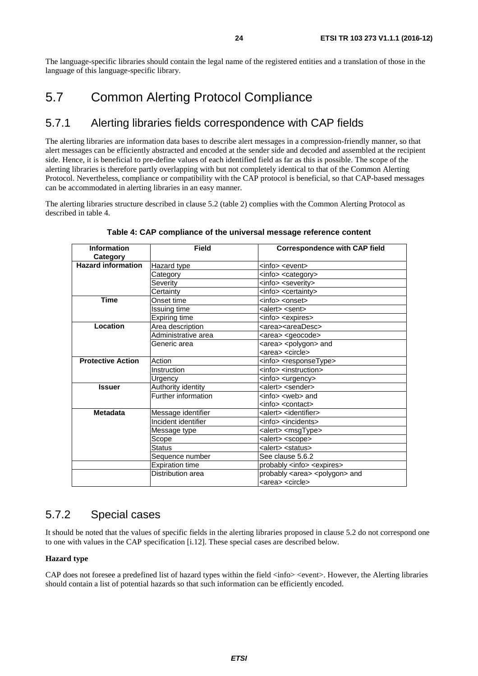<span id="page-23-0"></span>The language-specific libraries should contain the legal name of the registered entities and a translation of those in the language of this language-specific library.

# 5.7 Common Alerting Protocol Compliance

### 5.7.1 Alerting libraries fields correspondence with CAP fields

The alerting libraries are information data bases to describe alert messages in a compression-friendly manner, so that alert messages can be efficiently abstracted and encoded at the sender side and decoded and assembled at the recipient side. Hence, it is beneficial to pre-define values of each identified field as far as this is possible. The scope of the alerting libraries is therefore partly overlapping with but not completely identical to that of the Common Alerting Protocol. Nevertheless, compliance or compatibility with the CAP protocol is beneficial, so that CAP-based messages can be accommodated in alerting libraries in an easy manner.

The alerting libraries structure described in clause 5.2 (table 2) complies with the Common Alerting Protocol as described in table 4.

| <b>Information</b><br>Category      | <b>Field</b>           | <b>Correspondence with CAP field</b>        |
|-------------------------------------|------------------------|---------------------------------------------|
| <b>Hazard information</b>           | Hazard type            | <info> <event></event></info>               |
|                                     | Category               | <info> <category></category></info>         |
|                                     | Severity               | <info> <severity></severity></info>         |
|                                     | Certaintv              | <info> <certainty></certainty></info>       |
| <b>Time</b>                         | Onset time             | <info> <onset></onset></info>               |
|                                     | Issuing time           | <alert> <sent></sent></alert>               |
|                                     | Expiring time          | <info> <expires></expires></info>           |
| Location                            | Area description       | <area/> <areadesc></areadesc>               |
|                                     | Administrative area    | <area/> <geocode></geocode>                 |
|                                     | Generic area           | <area/> <polygon> and</polygon>             |
|                                     |                        | <area/> <circle></circle>                   |
| <b>Protective Action</b>            | Action                 | <info> <responsetype></responsetype></info> |
|                                     | Instruction            | <info> <instruction></instruction></info>   |
|                                     | Urgency                | <info> <urgency></urgency></info>           |
| Authority identity<br><b>Issuer</b> |                        | <alert> <sender></sender></alert>           |
|                                     | Further information    | <info> <web> and</web></info>               |
|                                     |                        | <info> <contact></contact></info>           |
| <b>Metadata</b>                     | Message identifier     | <alert> <identifier></identifier></alert>   |
|                                     | Incident identifier    | <info> <incidents></incidents></info>       |
|                                     | Message type           | <alert> <msgtype></msgtype></alert>         |
|                                     | Scope                  | <alert> <scope></scope></alert>             |
|                                     | <b>Status</b>          | <alert> <status></status></alert>           |
|                                     | Sequence number        | See clause 5.6.2                            |
|                                     | <b>Expiration time</b> | probably <info> <expires></expires></info>  |
|                                     | Distribution area      | probably <area/> <polygon> and</polygon>    |
|                                     |                        | <area/> <circle></circle>                   |

**Table 4: CAP compliance of the universal message reference content** 

### 5.7.2 Special cases

It should be noted that the values of specific fields in the alerting libraries proposed in clause 5.2 do not correspond one to one with values in the CAP specification [\[i.12](#page-5-0)]. These special cases are described below.

### **Hazard type**

CAP does not foresee a predefined list of hazard types within the field <info> <event>. However, the Alerting libraries should contain a list of potential hazards so that such information can be efficiently encoded.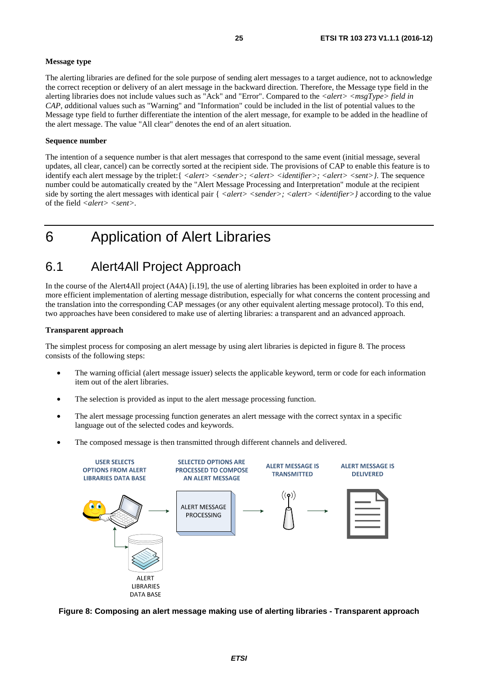### <span id="page-24-0"></span>**Message type**

The alerting libraries are defined for the sole purpose of sending alert messages to a target audience, not to acknowledge the correct reception or delivery of an alert message in the backward direction. Therefore, the Message type field in the alerting libraries does not include values such as "Ack" and "Error". Compared to the *<alert> <msgType> field in CAP, a*dditional values such as "Warning" and "Information" could be included in the list of potential values to the Message type field to further differentiate the intention of the alert message, for example to be added in the headline of the alert message. The value "All clear" denotes the end of an alert situation.

### **Sequence number**

The intention of a sequence number is that alert messages that correspond to the same event (initial message, several updates, all clear, cancel) can be correctly sorted at the recipient side. The provisions of CAP to enable this feature is to identify each alert message by the triplet:{ <*alert>* <*sender>; <alert>* <*identifier>; <alert>* <*sent>*}. The sequence number could be automatically created by the "Alert Message Processing and Interpretation" module at the recipient side by sorting the alert messages with identical pair {  $\langle$  *<alert>*  $\langle$  *<alert>*  $\langle$  *identifier>*} according to the value of the field *<alert> <sent>.* 

# 6 Application of Alert Libraries

## 6.1 Alert4All Project Approach

In the course of the Alert4All project (A4A) [\[i.19](#page-6-0)], the use of alerting libraries has been exploited in order to have a more efficient implementation of alerting message distribution, especially for what concerns the content processing and the translation into the corresponding CAP messages (or any other equivalent alerting message protocol). To this end, two approaches have been considered to make use of alerting libraries: a transparent and an advanced approach.

#### **Transparent approach**

The simplest process for composing an alert message by using alert libraries is depicted in figure 8. The process consists of the following steps:

- The warning official (alert message issuer) selects the applicable keyword, term or code for each information item out of the alert libraries.
- The selection is provided as input to the alert message processing function.
- The alert message processing function generates an alert message with the correct syntax in a specific language out of the selected codes and keywords.
- The composed message is then transmitted through different channels and delivered.



**Figure 8: Composing an alert message making use of alerting libraries - Transparent approach**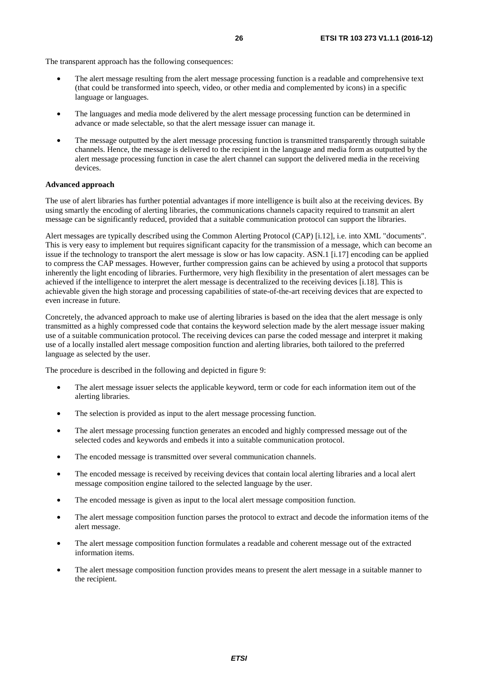The transparent approach has the following consequences:

- The alert message resulting from the alert message processing function is a readable and comprehensive text (that could be transformed into speech, video, or other media and complemented by icons) in a specific language or languages.
- The languages and media mode delivered by the alert message processing function can be determined in advance or made selectable, so that the alert message issuer can manage it.
- The message outputted by the alert message processing function is transmitted transparently through suitable channels. Hence, the message is delivered to the recipient in the language and media form as outputted by the alert message processing function in case the alert channel can support the delivered media in the receiving devices.

#### **Advanced approach**

The use of alert libraries has further potential advantages if more intelligence is built also at the receiving devices. By using smartly the encoding of alerting libraries, the communications channels capacity required to transmit an alert message can be significantly reduced, provided that a suitable communication protocol can support the libraries.

Alert messages are typically described using the Common Alerting Protocol (CAP) [[i.12](#page-5-0)], i.e. into XML "documents". This is very easy to implement but requires significant capacity for the transmission of a message, which can become an issue if the technology to transport the alert message is slow or has low capacity. ASN.1 [\[i.17](#page-6-0)] encoding can be applied to compress the CAP messages. However, further compression gains can be achieved by using a protocol that supports inherently the light encoding of libraries. Furthermore, very high flexibility in the presentation of alert messages can be achieved if the intelligence to interpret the alert message is decentralized to the receiving devices [\[i.18\]](#page-6-0). This is achievable given the high storage and processing capabilities of state-of-the-art receiving devices that are expected to even increase in future.

Concretely, the advanced approach to make use of alerting libraries is based on the idea that the alert message is only transmitted as a highly compressed code that contains the keyword selection made by the alert message issuer making use of a suitable communication protocol. The receiving devices can parse the coded message and interpret it making use of a locally installed alert message composition function and alerting libraries, both tailored to the preferred language as selected by the user.

The procedure is described in the following and depicted in figure 9:

- The alert message issuer selects the applicable keyword, term or code for each information item out of the alerting libraries.
- The selection is provided as input to the alert message processing function.
- The alert message processing function generates an encoded and highly compressed message out of the selected codes and keywords and embeds it into a suitable communication protocol.
- The encoded message is transmitted over several communication channels.
- The encoded message is received by receiving devices that contain local alerting libraries and a local alert message composition engine tailored to the selected language by the user.
- The encoded message is given as input to the local alert message composition function.
- The alert message composition function parses the protocol to extract and decode the information items of the alert message.
- The alert message composition function formulates a readable and coherent message out of the extracted information items.
- The alert message composition function provides means to present the alert message in a suitable manner to the recipient.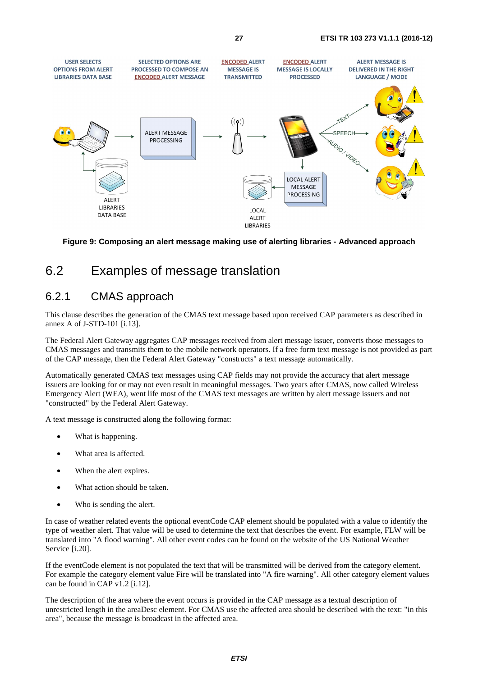<span id="page-26-0"></span>

**Figure 9: Composing an alert message making use of alerting libraries - Advanced approach** 

# 6.2 Examples of message translation

### 6.2.1 CMAS approach

This clause describes the generation of the CMAS text message based upon received CAP parameters as described in annex A of J-STD-101 [[i.13](#page-6-0)].

The Federal Alert Gateway aggregates CAP messages received from alert message issuer, converts those messages to CMAS messages and transmits them to the mobile network operators. If a free form text message is not provided as part of the CAP message, then the Federal Alert Gateway "constructs" a text message automatically.

Automatically generated CMAS text messages using CAP fields may not provide the accuracy that alert message issuers are looking for or may not even result in meaningful messages. Two years after CMAS, now called Wireless Emergency Alert (WEA), went life most of the CMAS text messages are written by alert message issuers and not "constructed" by the Federal Alert Gateway.

A text message is constructed along the following format:

- What is happening.
- What area is affected.
- When the alert expires.
- What action should be taken.
- Who is sending the alert.

In case of weather related events the optional eventCode CAP element should be populated with a value to identify the type of weather alert. That value will be used to determine the text that describes the event. For example, FLW will be translated into "A flood warning". All other event codes can be found on the website of the US National Weather Service [\[i.20\]](#page-6-0).

If the eventCode element is not populated the text that will be transmitted will be derived from the category element. For example the category element value Fire will be translated into "A fire warning". All other category element values can be found in CAP v1.2 [\[i.12\]](#page-5-0).

The description of the area where the event occurs is provided in the CAP message as a textual description of unrestricted length in the areaDesc element. For CMAS use the affected area should be described with the text: "in this area", because the message is broadcast in the affected area.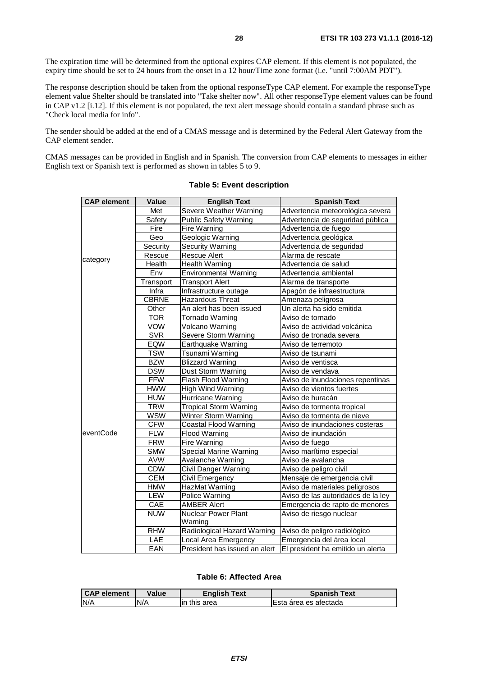The expiration time will be determined from the optional expires CAP element. If this element is not populated, the expiry time should be set to 24 hours from the onset in a 12 hour/Time zone format (i.e. "until 7:00AM PDT").

The response description should be taken from the optional responseType CAP element. For example the responseType element value Shelter should be translated into "Take shelter now". All other responseType element values can be found in CAP v1.2 [\[i.12](#page-5-0)]. If this element is not populated, the text alert message should contain a standard phrase such as "Check local media for info".

The sender should be added at the end of a CMAS message and is determined by the Federal Alert Gateway from the CAP element sender.

CMAS messages can be provided in English and in Spanish. The conversion from CAP elements to messages in either English text or Spanish text is performed as shown in tables 5 to 9.

| <b>CAP</b> element | <b>Value</b> | <b>English Text</b>            | <b>Spanish Text</b>                |
|--------------------|--------------|--------------------------------|------------------------------------|
|                    | Met          | Severe Weather Warning         | Advertencia meteorológica severa   |
|                    | Safety       | <b>Public Safety Warning</b>   | Advertencia de seguridad pública   |
|                    | Fire         | Fire Warning                   | Advertencia de fuego               |
|                    | Geo          | Geologic Warning               | Advertencia geológica              |
|                    | Security     | <b>Security Warning</b>        | Advertencia de seguridad           |
|                    | Rescue       | <b>Rescue Alert</b>            | Alarma de rescate                  |
| category           | Health       | <b>Health Warning</b>          | Advertencia de salud               |
|                    | Env          | <b>Environmental Warning</b>   | Advertencia ambiental              |
|                    | Transport    | <b>Transport Alert</b>         | Alarma de transporte               |
|                    | Infra        | Infrastructure outage          | Apagón de infraestructura          |
|                    | <b>CBRNE</b> | <b>Hazardous Threat</b>        | Amenaza peligrosa                  |
|                    | Other        | An alert has been issued       | Un alerta ha sido emitida          |
|                    | <b>TOR</b>   | Tornado Warning                | Aviso de tornado                   |
|                    | <b>VOW</b>   | Volcano Warning                | Aviso de actividad volcánica       |
|                    | <b>SVR</b>   | Severe Storm Warning           | Aviso de tronada severa            |
|                    | EQW          | Earthquake Warning             | Aviso de terremoto                 |
|                    | <b>TSW</b>   | Tsunami Warning                | Aviso de tsunami                   |
|                    | <b>BZW</b>   | <b>Blizzard Warning</b>        | Aviso de ventisca                  |
|                    | <b>DSW</b>   | <b>Dust Storm Warning</b>      | Aviso de vendava                   |
|                    | <b>FFW</b>   | <b>Flash Flood Warning</b>     | Aviso de inundaciones repentinas   |
|                    | <b>HWW</b>   | <b>High Wind Warning</b>       | Aviso de vientos fuertes           |
|                    | <b>HUW</b>   | Hurricane Warning              | Aviso de huracán                   |
|                    | <b>TRW</b>   | <b>Tropical Storm Warning</b>  | Aviso de tormenta tropical         |
|                    | <b>WSW</b>   | Winter Storm Warning           | Aviso de tormenta de nieve         |
|                    | <b>CFW</b>   | <b>Coastal Flood Warning</b>   | Aviso de inundaciones costeras     |
| eventCode          | <b>FLW</b>   | <b>Flood Warning</b>           | Aviso de inundación                |
|                    | <b>FRW</b>   | Fire Warning                   | Aviso de fuego                     |
|                    | <b>SMW</b>   | <b>Special Marine Warning</b>  | Aviso marítimo especial            |
|                    | <b>AVW</b>   | Avalanche Warning              | Aviso de avalancha                 |
|                    | <b>CDW</b>   | Civil Danger Warning           | Aviso de peligro civil             |
|                    | <b>CEM</b>   | Civil Emergency                | Mensaje de emergencia civil        |
|                    | <b>HMW</b>   | HazMat Warning                 | Aviso de materiales peligrosos     |
|                    | <b>LEW</b>   | Police Warning                 | Aviso de las autoridades de la ley |
|                    | CAE          | <b>AMBER Alert</b>             | Emergencia de rapto de menores     |
|                    | <b>NUW</b>   | Nuclear Power Plant<br>Warning | Aviso de riesgo nuclear            |
|                    | <b>RHW</b>   | Radiological Hazard Warning    | Aviso de peligro radiológico       |
|                    | LAE          | Local Area Emergency           | Emergencia del área local          |
|                    | EAN          | President has issued an alert  | El president ha emitido un alerta  |

### **Table 5: Event description**

### **Table 6: Affected Area**

| <b>CAP</b> element | Value | <b>English Text</b> | <b>Spanish Text</b>   |
|--------------------|-------|---------------------|-----------------------|
| N/A                | N/A   | lin this area       | Esta área es afectada |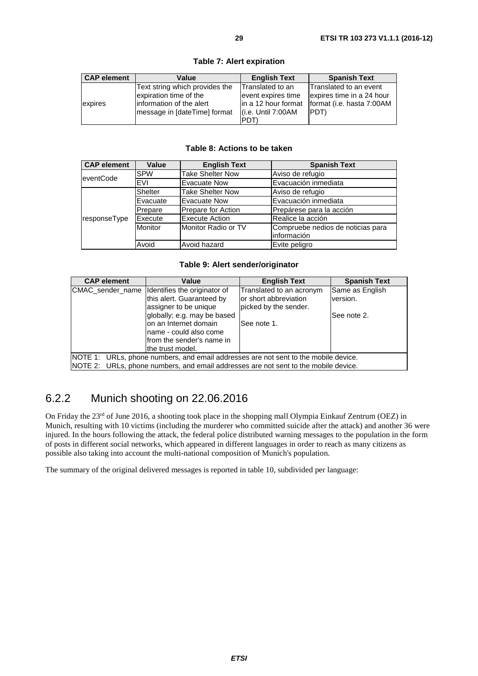<span id="page-28-0"></span>

| <b>CAP</b> element | Value                                                                                 | <b>English Text</b>                                            | <b>Spanish Text</b>                                                              |
|--------------------|---------------------------------------------------------------------------------------|----------------------------------------------------------------|----------------------------------------------------------------------------------|
| expires            | Text string which provides the<br>expiration time of the<br>linformation of the alert | Translated to an<br>event expires time<br>lin a 12 hour format | Translated to an event<br>expires time in a 24 hour<br>format (i.e. hasta 7:00AM |
|                    | message in [dateTime] format                                                          | $(i.e.$ Until $7:00AM$<br><b>PDT</b>                           | IPDT)                                                                            |

### **Table 7: Alert expiration**

### **Table 8: Actions to be taken**

| <b>CAP</b> element | Value          | <b>English Text</b>       | <b>Spanish Text</b>                               |
|--------------------|----------------|---------------------------|---------------------------------------------------|
| eventCode          | <b>SPW</b>     | <b>Take Shelter Now</b>   | Aviso de refugio                                  |
|                    | <b>EVI</b>     | Evacuate Now              | Evacuación inmediata                              |
|                    | Shelter        | <b>Take Shelter Now</b>   | Aviso de refugio                                  |
|                    | Evacuate       | <b>Evacuate Now</b>       | Evacuación inmediata                              |
|                    | Prepare        | <b>Prepare for Action</b> | Prepárese para la acción                          |
| responseType       | Execute        | <b>Execute Action</b>     | Realice la acción                                 |
|                    | <b>Monitor</b> | Monitor Radio or TV       | Compruebe nedios de noticias para<br>linformación |
|                    | Avoid          | Avoid hazard              | Evite peligro                                     |

### **Table 9: Alert sender/originator**

| <b>CAP</b> element                                                                  | Value                                                                               | <b>English Text</b>      | <b>Spanish Text</b> |  |  |  |  |
|-------------------------------------------------------------------------------------|-------------------------------------------------------------------------------------|--------------------------|---------------------|--|--|--|--|
| CMAC sender name                                                                    | Identifies the originator of                                                        | Translated to an acronym | Same as English     |  |  |  |  |
|                                                                                     | this alert. Guaranteed by                                                           | lor short abbreviation   | version.            |  |  |  |  |
|                                                                                     | assigner to be unique                                                               | picked by the sender.    |                     |  |  |  |  |
|                                                                                     | globally; e.g. may be based                                                         |                          | See note 2.         |  |  |  |  |
| on an Internet domain<br>See note 1.                                                |                                                                                     |                          |                     |  |  |  |  |
| name - could also come                                                              |                                                                                     |                          |                     |  |  |  |  |
|                                                                                     | lfrom the sender's name in                                                          |                          |                     |  |  |  |  |
|                                                                                     | lthe trust model.                                                                   |                          |                     |  |  |  |  |
| NOTE 1: URLs, phone numbers, and email addresses are not sent to the mobile device. |                                                                                     |                          |                     |  |  |  |  |
|                                                                                     | NOTE 2: URLs, phone numbers, and email addresses are not sent to the mobile device. |                          |                     |  |  |  |  |

### 6.2.2 Munich shooting on 22.06.2016

On Friday the 23<sup>rd</sup> of June 2016, a shooting took place in the shopping mall Olympia Einkauf Zentrum (OEZ) in Munich, resulting with 10 victims (including the murderer who committed suicide after the attack) and another 36 were injured. In the hours following the attack, the federal police distributed warning messages to the population in the form of posts in different social networks, which appeared in different languages in order to reach as many citizens as possible also taking into account the multi-national composition of Munich's population.

The summary of the original delivered messages is reported in table 10, subdivided per language: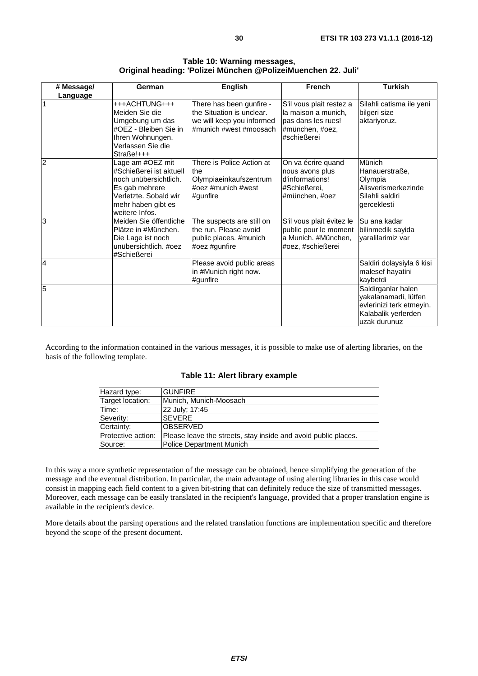| Table 10: Warning messages,                                   |
|---------------------------------------------------------------|
| Original heading: 'Polizei München @PolizeiMuenchen 22. Juli' |

| # Message/     | German                                                                                                                                                  | <b>English</b>                                                                                               | <b>French</b>                                                                                           | <b>Turkish</b>                                                                                                |
|----------------|---------------------------------------------------------------------------------------------------------------------------------------------------------|--------------------------------------------------------------------------------------------------------------|---------------------------------------------------------------------------------------------------------|---------------------------------------------------------------------------------------------------------------|
| Language       |                                                                                                                                                         |                                                                                                              |                                                                                                         |                                                                                                               |
|                | +++ACHTUNG+++<br>Meiden Sie die<br>Umgebung um das<br>#OEZ - Bleiben Sie in<br>Ihren Wohnungen.<br>Verlassen Sie die<br>$Strable!+++$                   | There has been gunfire -<br>the Situation is unclear.<br>we will keep you informed<br>#munich #west #moosach | S'il vous plait restez a<br>la maison a munich,<br>pas dans les rues!<br>#münchen, #oez,<br>#schießerei | Silahli catisma ile yeni<br>bilgeri size<br>aktariyoruz.                                                      |
| $\overline{2}$ | Lage am #OEZ mit<br>#Schießerei ist aktuell<br>noch unübersichtlich.<br>Es gab mehrere<br>Verletzte, Sobald wir<br>mehr haben gibt es<br>weitere Infos. | There is Police Action at<br>the<br>Olympiaeinkaufszentrum<br>#oez #munich #west<br>#gunfire                 | On va écrire quand<br>nous avons plus<br>d'informations!<br>#Schießerei.<br>#münchen, #oez              | Münich<br>Hanauerstraße,<br>Olympia<br>Alisverismerkezinde<br>Silahli saldiri<br>gerceklesti                  |
| 3              | Meiden Sie öffentliche<br>Plätze in #München.<br>Die Lage ist noch<br>unübersichtlich. #oez<br>#Schießerei                                              | The suspects are still on<br>the run. Please avoid<br>public places. #munich<br>#oez #gunfire                | S'il vous plait évitez le<br>public pour le moment<br>a Munich. #München,<br>#oez, #schießerei          | lSu ana kadar<br>bilinmedik sayida<br>varalilarimiz var                                                       |
| 4              |                                                                                                                                                         | Please avoid public areas<br>in #Munich right now.<br>#gunfire                                               |                                                                                                         | Saldiri dolaysiyla 6 kisi<br>malesef hayatini<br>kaybetdi                                                     |
| 5              |                                                                                                                                                         |                                                                                                              |                                                                                                         | Saldirganlar halen<br>yakalanamadi, lütfen<br>evlerinizi terk etmeyin.<br>Kalabalik yerlerden<br>uzak durunuz |

According to the information contained in the various messages, it is possible to make use of alerting libraries, on the basis of the following template.

| Table 11: Alert library example |  |  |  |  |  |
|---------------------------------|--|--|--|--|--|
|---------------------------------|--|--|--|--|--|

| Hazard type:       | <b>GUNFIRE</b>                                                 |
|--------------------|----------------------------------------------------------------|
| Target location:   | Munich, Munich-Moosach                                         |
| Time:              | 22 July: 17:45                                                 |
| Severity:          | <b>SEVERE</b>                                                  |
| Certainty:         | <b>OBSERVED</b>                                                |
| Protective action: | Please leave the streets, stay inside and avoid public places. |
| Source:            | Police Department Munich                                       |

In this way a more synthetic representation of the message can be obtained, hence simplifying the generation of the message and the eventual distribution. In particular, the main advantage of using alerting libraries in this case would consist in mapping each field content to a given bit-string that can definitely reduce the size of transmitted messages. Moreover, each message can be easily translated in the recipient's language, provided that a proper translation engine is available in the recipient's device.

More details about the parsing operations and the related translation functions are implementation specific and therefore beyond the scope of the present document.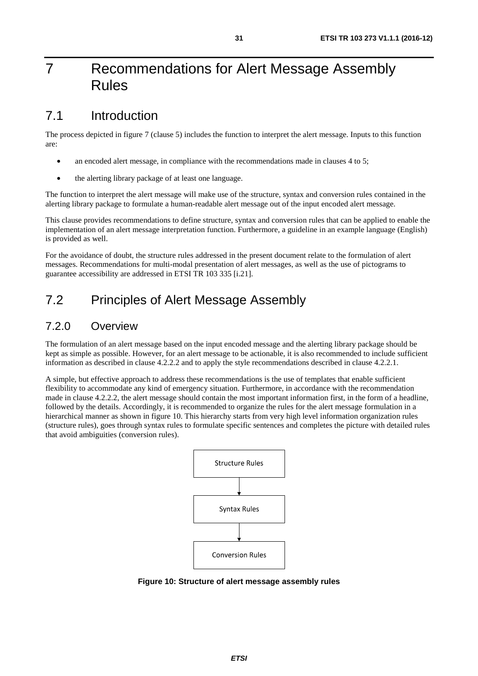# <span id="page-30-0"></span>7 Recommendations for Alert Message Assembly Rules

### 7.1 Introduction

The process depicted in figure 7 (clause 5) includes the function to interpret the alert message. Inputs to this function are:

- an encoded alert message, in compliance with the recommendations made in clauses 4 to 5;
- the alerting library package of at least one language.

The function to interpret the alert message will make use of the structure, syntax and conversion rules contained in the alerting library package to formulate a human-readable alert message out of the input encoded alert message.

This clause provides recommendations to define structure, syntax and conversion rules that can be applied to enable the implementation of an alert message interpretation function. Furthermore, a guideline in an example language (English) is provided as well.

For the avoidance of doubt, the structure rules addressed in the present document relate to the formulation of alert messages. Recommendations for multi-modal presentation of alert messages, as well as the use of pictograms to guarantee accessibility are addressed in ETSI TR 103 335 [\[i.21](#page-6-0)].

# 7.2 Principles of Alert Message Assembly

### 7.2.0 Overview

The formulation of an alert message based on the input encoded message and the alerting library package should be kept as simple as possible. However, for an alert message to be actionable, it is also recommended to include sufficient information as described in clause 4.2.2.2 and to apply the style recommendations described in clause 4.2.2.1.

A simple, but effective approach to address these recommendations is the use of templates that enable sufficient flexibility to accommodate any kind of emergency situation. Furthermore, in accordance with the recommendation made in clause 4.2.2.2, the alert message should contain the most important information first, in the form of a headline, followed by the details. Accordingly, it is recommended to organize the rules for the alert message formulation in a hierarchical manner as shown in figure 10. This hierarchy starts from very high level information organization rules (structure rules), goes through syntax rules to formulate specific sentences and completes the picture with detailed rules that avoid ambiguities (conversion rules).



**Figure 10: Structure of alert message assembly rules**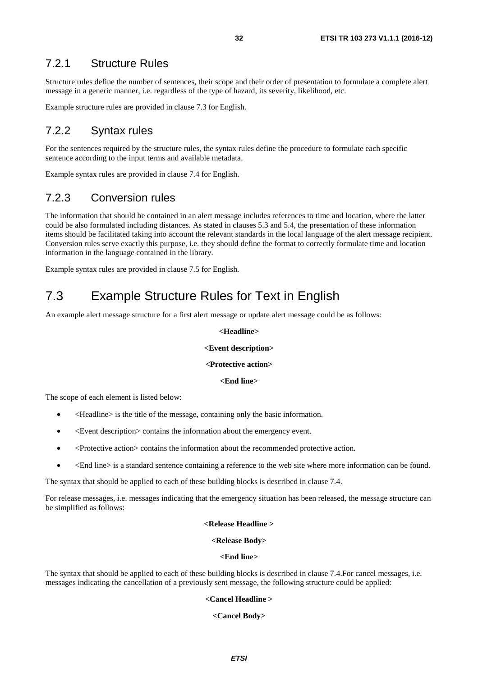### <span id="page-31-0"></span>7.2.1 Structure Rules

Structure rules define the number of sentences, their scope and their order of presentation to formulate a complete alert message in a generic manner, i.e. regardless of the type of hazard, its severity, likelihood, etc.

Example structure rules are provided in clause 7.3 for English.

### 7.2.2 Syntax rules

For the sentences required by the structure rules, the syntax rules define the procedure to formulate each specific sentence according to the input terms and available metadata.

Example syntax rules are provided in clause 7.4 for English.

### 7.2.3 Conversion rules

The information that should be contained in an alert message includes references to time and location, where the latter could be also formulated including distances. As stated in clauses 5.3 and 5.4, the presentation of these information items should be facilitated taking into account the relevant standards in the local language of the alert message recipient. Conversion rules serve exactly this purpose, i.e. they should define the format to correctly formulate time and location information in the language contained in the library.

Example syntax rules are provided in clause 7.5 for English.

### 7.3 Example Structure Rules for Text in English

An example alert message structure for a first alert message or update alert message could be as follows:

#### **<Headline>**

#### **<Event description>**

#### **<Protective action>**

#### **<End line>**

The scope of each element is listed below:

- <Headline> is the title of the message, containing only the basic information.
- <Event description> contains the information about the emergency event.
- <Protective action> contains the information about the recommended protective action.
- <End line> is a standard sentence containing a reference to the web site where more information can be found.

The syntax that should be applied to each of these building blocks is described in clause 7.4.

For release messages, i.e. messages indicating that the emergency situation has been released, the message structure can be simplified as follows:

### **<Release Headline >**

#### **<Release Body>**

### **<End line>**

The syntax that should be applied to each of these building blocks is described in clause 7.4.For cancel messages, i.e. messages indicating the cancellation of a previously sent message, the following structure could be applied:

#### **<Cancel Headline >**

#### **<Cancel Body>**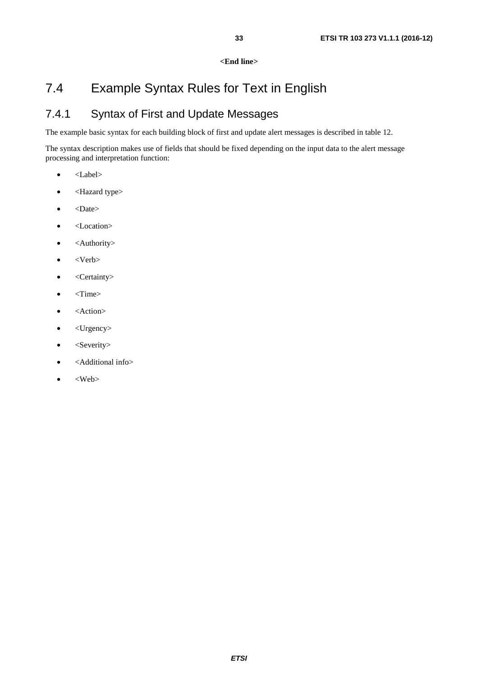**<End line>** 

# <span id="page-32-0"></span>7.4 Example Syntax Rules for Text in English

### 7.4.1 Syntax of First and Update Messages

The example basic syntax for each building block of first and update alert messages is described in table 12.

The syntax description makes use of fields that should be fixed depending on the input data to the alert message processing and interpretation function:

- <Label>
- <Hazard type>
- <Date>
- <Location>
- <Authority>
- $\bullet \quad \langle \text{Verb} \rangle$
- <Certainty>
- $\bullet$  <Time>
- <Action>
- <Urgency>
- <Severity>
- <Additional info>
- $\bullet$  <Web>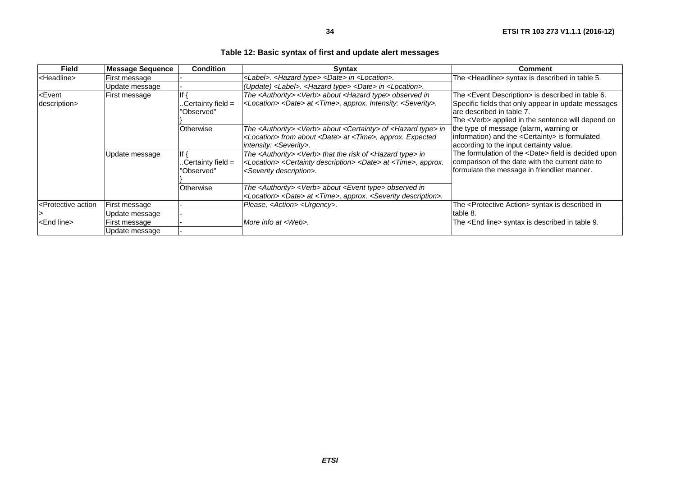| Field                                                                                                                                                                                                    | <b>Message Sequence</b> | <b>Condition</b>                    | <b>Syntax</b>                                                                                                                                                                                                                              | <b>Comment</b>                                                                                                                                                                                                 |
|----------------------------------------------------------------------------------------------------------------------------------------------------------------------------------------------------------|-------------------------|-------------------------------------|--------------------------------------------------------------------------------------------------------------------------------------------------------------------------------------------------------------------------------------------|----------------------------------------------------------------------------------------------------------------------------------------------------------------------------------------------------------------|
| <headline></headline>                                                                                                                                                                                    | First message           |                                     | <label>. <hazard type=""> <date> in <location>.</location></date></hazard></label>                                                                                                                                                         | The <headline> syntax is described in table 5.</headline>                                                                                                                                                      |
|                                                                                                                                                                                                          | Update message          |                                     | (Update) <label>. <hazard type=""> <date> in <location>.</location></date></hazard></label>                                                                                                                                                |                                                                                                                                                                                                                |
| <event<br>First message<br/>Certainty field <math>=</math><br/>description&gt;<br/>'Observed"</event<br>                                                                                                 |                         |                                     | The <authority> <verb> about <hazard type=""> observed in<br/><location> <date> at <time>, approx. Intensity: <severity>.</severity></time></date></location></hazard></verb></authority>                                                  | The <event description=""> is described in table 6.<br/>Specific fields that only appear in update messages<br/>are described in table 7.<br/>The <verb> applied in the sentence will depend on</verb></event> |
|                                                                                                                                                                                                          |                         | Otherwise                           | The <authority> <verb> about <certainty> of <hazard type=""> in<br/><location> from about <date> at <time>, approx. Expected<br/><i>intensity:</i> <severity>.</severity></time></date></location></hazard></certainty></verb></authority> | the type of message (alarm, warning or<br>information) and the <certainty> is formulated<br/>according to the input certainty value.</certainty>                                                               |
|                                                                                                                                                                                                          | Update message          | . Certainty field $=$<br>"Observed" | The <authority> <verb> that the risk of <hazard type=""> in<br/><location> <certainty description=""> <date> at <time>, approx.<br/><severity description="">.</severity></time></date></certainty></location></hazard></verb></authority> | The formulation of the <date> field is decided upon<br/>comparison of the date with the current date to<br/>formulate the message in friendlier manner.</date>                                                 |
|                                                                                                                                                                                                          |                         | Otherwise                           | The <authority> <verb> about <event type=""> observed in<br/><location> <date> at <time>, approx. <severity description="">.</severity></time></date></location></event></verb></authority>                                                |                                                                                                                                                                                                                |
| <protective action<="" td=""><td> First message</td><td></td><td>Please, <action> <urgency>.</urgency></action></td><td>The <protective action=""> syntax is described in</protective></td></protective> | First message           |                                     | Please, <action> <urgency>.</urgency></action>                                                                                                                                                                                             | The <protective action=""> syntax is described in</protective>                                                                                                                                                 |
|                                                                                                                                                                                                          | Update message          |                                     |                                                                                                                                                                                                                                            | table 8.                                                                                                                                                                                                       |
| <end line=""></end>                                                                                                                                                                                      | First message           |                                     | More info at <web>.</web>                                                                                                                                                                                                                  | The <end line=""> syntax is described in table 9.</end>                                                                                                                                                        |
| Update message                                                                                                                                                                                           |                         |                                     |                                                                                                                                                                                                                                            |                                                                                                                                                                                                                |

### **Table 12: Basic syntax of first and update alert messages**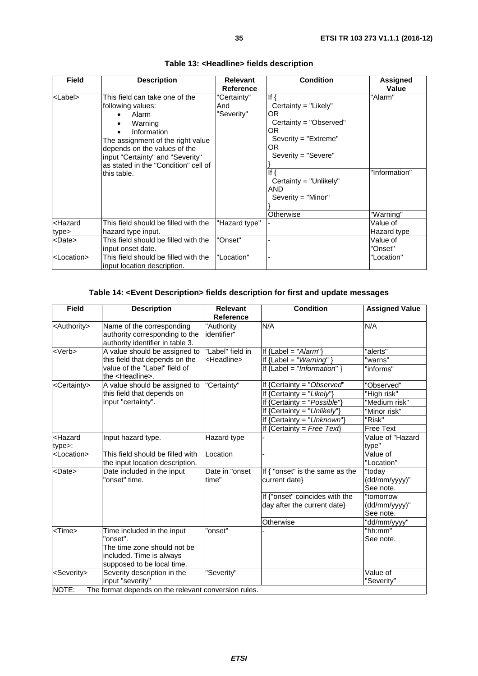| <b>Field</b>                                                                                                           | <b>Description</b>                                                                                                                                                                                                                                                | <b>Relevant</b>                  | <b>Condition</b>                                                                                                                | Assigned                   |
|------------------------------------------------------------------------------------------------------------------------|-------------------------------------------------------------------------------------------------------------------------------------------------------------------------------------------------------------------------------------------------------------------|----------------------------------|---------------------------------------------------------------------------------------------------------------------------------|----------------------------|
|                                                                                                                        |                                                                                                                                                                                                                                                                   | <b>Reference</b>                 |                                                                                                                                 | Value                      |
| <label></label>                                                                                                        | This field can take one of the<br>following values:<br>Alarm<br>$\bullet$<br>Warning<br>$\bullet$<br>Information<br>The assignment of the right value<br>depends on the values of the<br>input "Certainty" and "Severity"<br>as stated in the "Condition" cell of | "Certainty"<br>And<br>"Severity" | If $\{$<br>Certainty = $"Likely"$<br>OR.<br>Certainty = "Observed"<br>OR.<br>Severity = "Extreme"<br>OR.<br>Severity = "Severe" | "Alarm"                    |
|                                                                                                                        | lthis table.                                                                                                                                                                                                                                                      |                                  | If $\{$<br>Certainty = $"Unlikely"$<br>AND<br>$Severity = "Minor"$<br>Otherwise                                                 | "Information"<br>"Warning" |
| <hazard< td=""><td>This field should be filled with the</td><td>"Hazard type"</td><td></td><td>Value of</td></hazard<> | This field should be filled with the                                                                                                                                                                                                                              | "Hazard type"                    |                                                                                                                                 | Value of                   |
| type>                                                                                                                  | hazard type input.                                                                                                                                                                                                                                                |                                  |                                                                                                                                 | Hazard type                |
| <date></date>                                                                                                          | This field should be filled with the<br>input onset date.                                                                                                                                                                                                         | "Onset"                          |                                                                                                                                 | Value of<br>"Onset"        |
| <location></location>                                                                                                  | This field should be filled with the<br>input location description.                                                                                                                                                                                               | "Location"                       |                                                                                                                                 | "Location"                 |

### **Table 13: <Headline> fields description**

### **Table 14: <Event Description> fields description for first and update messages**

| <b>Field</b>                              | <b>Description</b>                                                                                                              | <b>Relevant</b>           | <b>Condition</b>                                              | <b>Assigned Value</b>                   |
|-------------------------------------------|---------------------------------------------------------------------------------------------------------------------------------|---------------------------|---------------------------------------------------------------|-----------------------------------------|
|                                           |                                                                                                                                 | <b>Reference</b>          |                                                               |                                         |
| <authority></authority>                   | Name of the corresponding<br>authority corresponding to the<br>authority identifier in table 3.                                 | "Authority<br>identifier" | N/A                                                           | N/A                                     |
| <verb></verb>                             | A value should be assigned to                                                                                                   | "Label" field in          | If ${Label = "Alarm" }$                                       | "alerts"                                |
|                                           | this field that depends on the                                                                                                  | <headline></headline>     | If ${Label = "Warning" }$                                     | "warns"                                 |
|                                           | value of the "Label" field of<br>the <headline>.</headline>                                                                     |                           | If ${Label = "Information" }$                                 | "informs"                               |
| <certainty></certainty>                   | A value should be assigned to                                                                                                   | "Certainty"               | If {Certainty = "Observed"                                    | "Observed"                              |
|                                           | this field that depends on                                                                                                      |                           | If {Certainty = "Likely"}                                     | "High risk"                             |
|                                           | input "certainty".                                                                                                              |                           | If ${Centainty = "Possible"\}$                                | "Medium risk"                           |
|                                           |                                                                                                                                 |                           | If {Certainty = "Unlikely"}                                   | "Minor risk"                            |
|                                           |                                                                                                                                 |                           | If ${Centainty = "Unknown"}$                                  | "Risk"                                  |
|                                           |                                                                                                                                 |                           | If {Certainty = Free Text}                                    | <b>Free Text</b>                        |
| <hazard<br><math>type</math>:</hazard<br> | Input hazard type.                                                                                                              | Hazard type               |                                                               | Value of "Hazard<br>type"               |
| <location></location>                     | This field should be filled with<br>the input location description.                                                             | Location                  |                                                               | Value of<br>"Location"                  |
| <date></date>                             | Date included in the input<br>'onset" time.                                                                                     | Date in "onset<br>time"   | If { "onset" is the same as the<br>current date}              | "todav<br>(dd/mm/yyyy)"<br>See note.    |
|                                           |                                                                                                                                 |                           | If {"onset" coincides with the<br>day after the current date} | "tomorrow<br>(dd/mm/yyyy)"<br>See note. |
|                                           |                                                                                                                                 |                           | Otherwise                                                     | 'dd/mm/yyyy"                            |
| <time></time>                             | Time included in the input<br>"onset".<br>The time zone should not be<br>included. Time is always<br>supposed to be local time. | "onset"                   |                                                               | "hh:mm"<br>See note.                    |
| <severity></severity>                     | Severity description in the<br>input "severity"                                                                                 | "Severity"                |                                                               | Value of<br>"Severity"                  |
| NOTE:                                     | The format depends on the relevant conversion rules.                                                                            |                           |                                                               |                                         |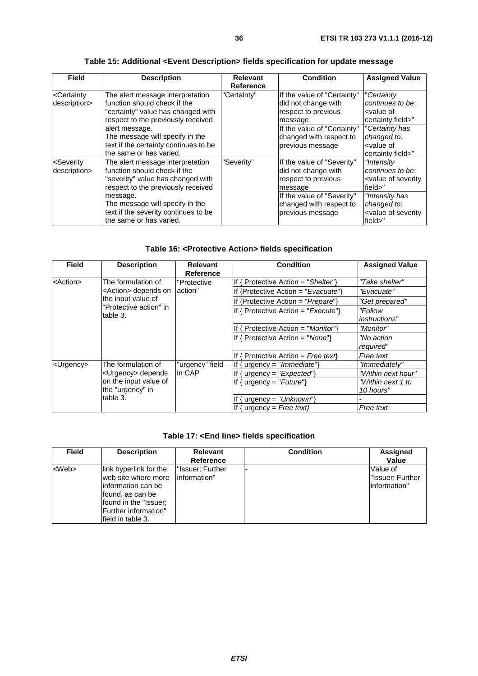| <b>Field</b>                                 | <b>Description</b>                                                                                                                                              | Relevant<br><b>Reference</b> | <b>Condition</b>                                                                                                    | <b>Assigned Value</b>                                                                             |
|----------------------------------------------|-----------------------------------------------------------------------------------------------------------------------------------------------------------------|------------------------------|---------------------------------------------------------------------------------------------------------------------|---------------------------------------------------------------------------------------------------|
| <certainty<br>description&gt;</certainty<br> | The alert message interpretation<br>lfunction should check if the<br>"certainty" value has changed with<br>respect to the previously received<br>alert message. | "Certainty"                  | If the value of "Certainty"<br>did not change with<br>respect to previous<br>message<br>If the value of "Certainty" | "Certainty<br>continues to be:<br><value of<br="">certainty field&gt;"<br/>"Certainty has</value> |
|                                              | The message will specify in the<br>text if the certainty continues to be<br>lthe same or has varied.                                                            |                              | changed with respect to<br>previous message                                                                         | changed to:<br><value of<br="">certainty field&gt;"</value>                                       |
| <severity<br>description&gt;</severity<br>   | The alert message interpretation<br>lfunction should check if the<br>"severity" value has changed with<br>respect to the previously received                    | "Severity"                   | If the value of "Severity"<br>did not change with<br>respect to previous<br>message                                 | "Intensity<br>continues to be:<br><value of="" severity<br="">field&gt;"</value>                  |
|                                              | message.<br>The message will specify in the<br>text if the severity continues to be<br>lthe same or has varied.                                                 |                              | If the value of "Severity"<br>changed with respect to<br>previous message                                           | "Intensity has<br>changed to:<br><value of="" severity<br="">field&gt;"</value>                   |

**Table 15: Additional <Event Description> fields specification for update message** 

### **Table 16: <Protective Action> fields specification**

| <b>Field</b>        | <b>Description</b>                        | <b>Relevant</b><br>Reference | <b>Condition</b>                             | <b>Assigned Value</b>           |
|---------------------|-------------------------------------------|------------------------------|----------------------------------------------|---------------------------------|
| <action></action>   | The formulation of                        | "Protective                  | If { Protective Action = "Shelter"}          | "Take shelter"                  |
|                     | <action> depends on</action>              | action"                      | If {Protective Action = "Evacuate"}          | "Evacuate"                      |
|                     | the input value of                        |                              | If ${Predictive Action = "Prepare"\}$        | "Get prepared"                  |
|                     | "Protective action" in<br>table 3.        |                              | If { Protective Action = "Execute"}          | "Follow<br><i>instructions"</i> |
|                     |                                           |                              | If { Protective Action = " <i>Monitor</i> "} | "Monitor"                       |
|                     |                                           |                              | If { Protective Action = "None"}             | "No action<br>required"         |
|                     |                                           |                              | If { Protective Action = Free text}          | Free text                       |
| <urgency></urgency> | The formulation of                        | "urgency" field              | If { urgency = " <i>Immediate</i> "}         | "Immediately"                   |
|                     | <urgency> depends</urgency>               | in CAP                       | $urgency = "Expected"\}$                     | "Within next hour"              |
|                     | on the input value of<br>the "urgency" in |                              | If { urgency = " $Future$ "}                 | "Within next 1 to<br>10 hours"  |
|                     | table 3.                                  |                              | urgency = " $Unknown$ "}                     |                                 |
|                     |                                           |                              | If { urgency = $Free$ text}                  | <b>Free text</b>                |

### **Table 17: <End line> fields specification**

| <b>Field</b> | <b>Description</b>                                                                                                                                                      | <b>Relevant</b><br>Reference      | <b>Condition</b> | Assigned<br>Value                            |
|--------------|-------------------------------------------------------------------------------------------------------------------------------------------------------------------------|-----------------------------------|------------------|----------------------------------------------|
| $<$ Web $>$  | link hyperlink for the<br>web site where more<br>linformation can be<br>found, as can be<br>found in the "Issuer:<br><b>IFurther information"</b><br>Ifield in table 3. | "Issuer: Further<br>linformation" |                  | Value of<br>"Issuer: Further<br>information" |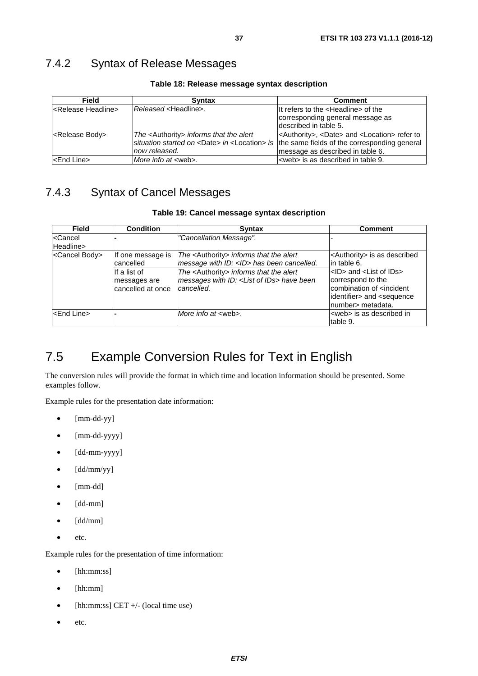<span id="page-36-0"></span>

| Field                             | <b>Syntax</b>                                                        | <b>Comment</b>                                                                                                                                                                                                                  |
|-----------------------------------|----------------------------------------------------------------------|---------------------------------------------------------------------------------------------------------------------------------------------------------------------------------------------------------------------------------|
| l <release headline=""></release> | Released <headline>.</headline>                                      | It refers to the <headline> of the<br/>corresponding general message as<br/>described in table 5.</headline>                                                                                                                    |
| <release body=""></release>       | The <authority> informs that the alert<br/>now released.</authority> | <authority>, <date> and <location> refer to<br/>situation started on <date> in <location> is the same fields of the corresponding general<br/>Imessage as described in table 6.</location></date></location></date></authority> |
| <b>End Lines</b>                  | More info at <web>.</web>                                            | <web> is as described in table 9.</web>                                                                                                                                                                                         |

### **Table 18: Release message syntax description**

# 7.4.3 Syntax of Cancel Messages

### **Table 19: Cancel message syntax description**

| <b>Field</b>                        | <b>Condition</b>                                                                    | <b>Syntax</b>                                                                                                                                                                                                                          | <b>Comment</b>                                                                                                                                                                                                                                |
|-------------------------------------|-------------------------------------------------------------------------------------|----------------------------------------------------------------------------------------------------------------------------------------------------------------------------------------------------------------------------------------|-----------------------------------------------------------------------------------------------------------------------------------------------------------------------------------------------------------------------------------------------|
| <cancel<br>Headline&gt;</cancel<br> |                                                                                     | "Cancellation Message".                                                                                                                                                                                                                |                                                                                                                                                                                                                                               |
| <cancel body=""></cancel>           | If one message is<br>cancelled<br>If a list of<br>messages are<br>cancelled at once | The <authority> informs that the alert<br/>message with ID: <id> has been cancelled.<br/>The <authority> informs that the alert<br/>messages with ID: <list ids="" of=""> have been<br/>cancelled.</list></authority></id></authority> | <authority> is as described<br/>lin table 6.<br/><id> and <list ids="" of=""><br/>correspond to the<br/>combination of <incident<br>identifier&gt; and <sequence<br>Inumber&gt; metadata.</sequence<br></incident<br></list></id></authority> |
| <b>End Line&gt;</b>                 |                                                                                     | More info $at$ $\lt$ web $\gt$ .                                                                                                                                                                                                       | <web> is as described in<br/>table 9.</web>                                                                                                                                                                                                   |

# 7.5 Example Conversion Rules for Text in English

The conversion rules will provide the format in which time and location information should be presented. Some examples follow.

Example rules for the presentation date information:

- [mm-dd-yy]
- [mm-dd-yyyy]
- [dd-mm-yyyy]
- $\bullet$  [dd/mm/yy]
- [mm-dd]
- [dd-mm]
- $\bullet$  [dd/mm]
- etc.

Example rules for the presentation of time information:

- [hh:mm:ss]
- [hh:mm]
- [hh:mm:ss] CET  $+/-$  (local time use)
- etc.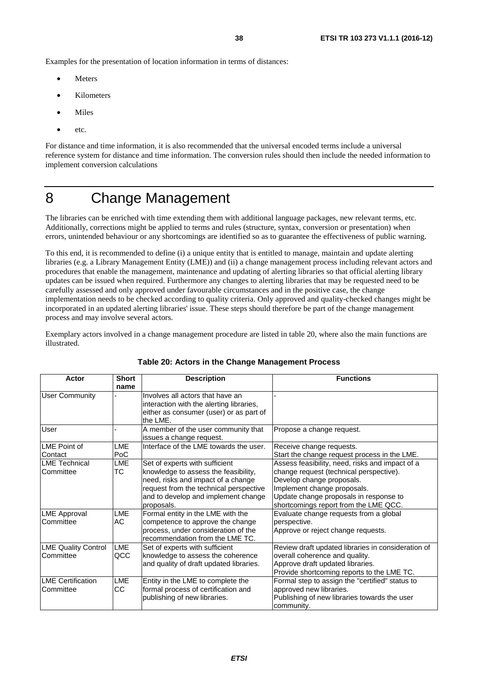<span id="page-37-0"></span>Examples for the presentation of location information in terms of distances:

- **Meters**
- Kilometers
- **Miles**
- etc.

For distance and time information, it is also recommended that the universal encoded terms include a universal reference system for distance and time information. The conversion rules should then include the needed information to implement conversion calculations

# 8 Change Management

The libraries can be enriched with time extending them with additional language packages, new relevant terms, etc. Additionally, corrections might be applied to terms and rules (structure, syntax, conversion or presentation) when errors, unintended behaviour or any shortcomings are identified so as to guarantee the effectiveness of public warning.

To this end, it is recommended to define (i) a unique entity that is entitled to manage, maintain and update alerting libraries (e.g. a Library Management Entity (LME)) and (ii) a change management process including relevant actors and procedures that enable the management, maintenance and updating of alerting libraries so that official alerting library updates can be issued when required. Furthermore any changes to alerting libraries that may be requested need to be carefully assessed and only approved under favourable circumstances and in the positive case, the change implementation needs to be checked according to quality criteria. Only approved and quality-checked changes might be incorporated in an updated alerting libraries' issue. These steps should therefore be part of the change management process and may involve several actors.

Exemplary actors involved in a change management procedure are listed in table 20, where also the main functions are illustrated.

| Actor                      | <b>Short</b><br>name | <b>Description</b>                                                                                                                  | <b>Functions</b>                                   |
|----------------------------|----------------------|-------------------------------------------------------------------------------------------------------------------------------------|----------------------------------------------------|
| <b>User Community</b>      |                      | Involves all actors that have an<br>interaction with the alerting libraries,<br>either as consumer (user) or as part of<br>the LME. |                                                    |
| User                       |                      | A member of the user community that<br>issues a change request.                                                                     | Propose a change request.                          |
| LME Point of               | LME                  | Interface of the LME towards the user.                                                                                              | Receive change requests.                           |
| Contact                    | PoC                  |                                                                                                                                     | Start the change request process in the LME.       |
| <b>LME</b> Technical       | LME                  | Set of experts with sufficient                                                                                                      | Assess feasibility, need, risks and impact of a    |
| Committee                  | TC                   | knowledge to assess the feasibility,                                                                                                | change request (technical perspective).            |
|                            |                      | need, risks and impact of a change                                                                                                  | Develop change proposals.                          |
|                            |                      | request from the technical perspective                                                                                              | Implement change proposals.                        |
|                            |                      | and to develop and implement change                                                                                                 | Update change proposals in response to             |
|                            |                      | proposals.                                                                                                                          | shortcomings report from the LME QCC.              |
| <b>LME Approval</b>        | <b>LME</b>           | Formal entity in the LME with the                                                                                                   | Evaluate change requests from a global             |
| Committee                  | AC                   | competence to approve the change                                                                                                    | perspective.                                       |
|                            |                      | process, under consideration of the                                                                                                 | Approve or reject change requests.                 |
|                            |                      | recommendation from the LME TC.                                                                                                     |                                                    |
| <b>LME Quality Control</b> | <b>LME</b>           | Set of experts with sufficient                                                                                                      | Review draft updated libraries in consideration of |
| Committee                  | QCC                  | knowledge to assess the coherence                                                                                                   | overall coherence and quality.                     |
|                            |                      | and quality of draft updated libraries.                                                                                             | Approve draft updated libraries.                   |
|                            |                      |                                                                                                                                     | Provide shortcoming reports to the LME TC.         |
| <b>LME Certification</b>   | <b>LME</b>           | Entity in the LME to complete the                                                                                                   | Formal step to assign the "certified" status to    |
| Committee                  | CC                   | formal process of certification and                                                                                                 | approved new libraries.                            |
|                            |                      | publishing of new libraries.                                                                                                        | Publishing of new libraries towards the user       |
|                            |                      |                                                                                                                                     | community.                                         |

### **Table 20: Actors in the Change Management Process**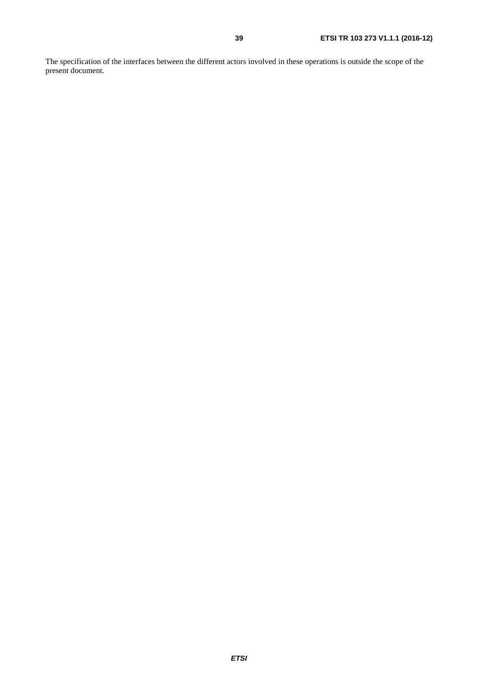The specification of the interfaces between the different actors involved in these operations is outside the scope of the present document.